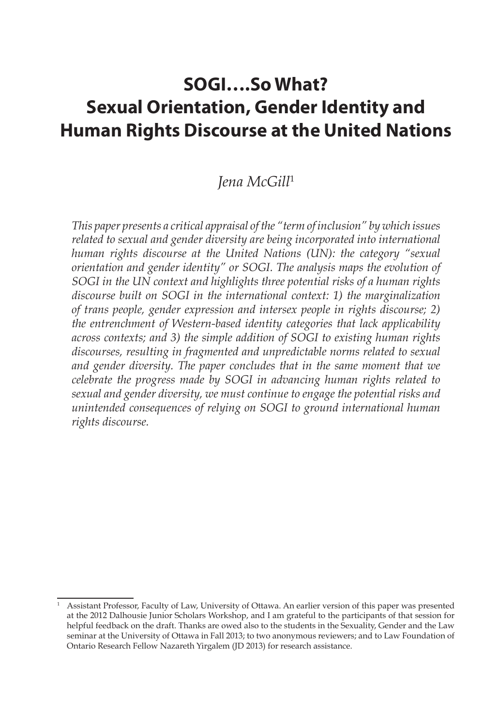# **SOGI….So What? Sexual Orientation, Gender Identity and Human Rights Discourse at the United Nations**

# *Jena McGill*<sup>1</sup>

*This paper presents a critical appraisal of the "term of inclusion" by which issues related to sexual and gender diversity are being incorporated into international human rights discourse at the United Nations (UN): the category "sexual orientation and gender identity" or SOGI. The analysis maps the evolution of SOGI in the UN context and highlights three potential risks of a human rights discourse built on SOGI in the international context: 1) the marginalization of trans people, gender expression and intersex people in rights discourse; 2) the entrenchment of Western-based identity categories that lack applicability across contexts; and 3) the simple addition of SOGI to existing human rights discourses, resulting in fragmented and unpredictable norms related to sexual and gender diversity. The paper concludes that in the same moment that we celebrate the progress made by SOGI in advancing human rights related to sexual and gender diversity, we must continue to engage the potential risks and unintended consequences of relying on SOGI to ground international human rights discourse.*

<sup>&</sup>lt;sup>1</sup> Assistant Professor, Faculty of Law, University of Ottawa. An earlier version of this paper was presented at the 2012 Dalhousie Junior Scholars Workshop, and I am grateful to the participants of that session for helpful feedback on the draft. Thanks are owed also to the students in the Sexuality, Gender and the Law seminar at the University of Ottawa in Fall 2013; to two anonymous reviewers; and to Law Foundation of Ontario Research Fellow Nazareth Yirgalem (JD 2013) for research assistance.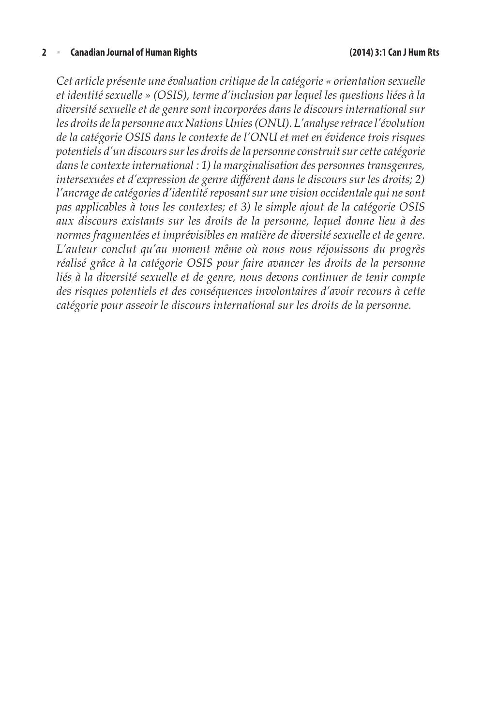#### **2** <sup>n</sup> **Canadian Journal of Human Rights (2014) 3:1 Can J Hum Rts**

*Cet article présente une évaluation critique de la catégorie « orientation sexuelle et identité sexuelle » (OSIS), terme d'inclusion par lequel les questions liées à la diversité sexuelle et de genre sont incorporées dans le discours international sur les droits de la personne aux Nations Unies (ONU). L'analyse retrace l'évolution de la catégorie OSIS dans le contexte de l'ONU et met en évidence trois risques potentiels d'un discours sur les droits de la personne construit sur cette catégorie dans le contexte international : 1) la marginalisation des personnes transgenres, intersexuées et d'expression de genre différent dans le discours sur les droits; 2) l'ancrage de catégories d'identité reposant sur une vision occidentale qui ne sont pas applicables à tous les contextes; et 3) le simple ajout de la catégorie OSIS aux discours existants sur les droits de la personne, lequel donne lieu à des normes fragmentées et imprévisibles en matière de diversité sexuelle et de genre. L'auteur conclut qu'au moment même où nous nous réjouissons du progrès réalisé grâce à la catégorie OSIS pour faire avancer les droits de la personne*  liés à la diversité sexuelle et de genre, nous devons continuer de tenir compte *des risques potentiels et des conséquences involontaires d'avoir recours à cette catégorie pour asseoir le discours international sur les droits de la personne.*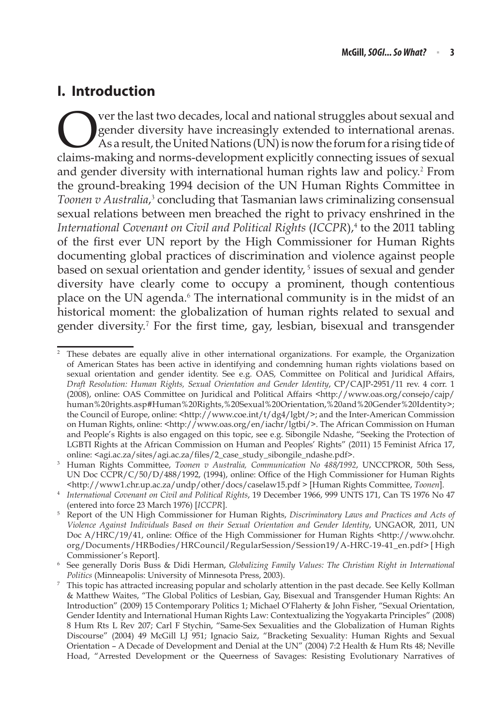### **I. Introduction**

Ver the last two decades, local and national struggles about sexual and<br>gender diversity have increasingly extended to international arenas.<br>As a result, the United Nations (UN) is now the forum for a rising tide of<br>claims gender diversity have increasingly extended to international arenas. As a result, the United Nations (UN) is now the forum for a rising tide of claims-making and norms-development explicitly connecting issues of sexual and gender diversity with international human rights law and policy.<sup>2</sup> From the ground-breaking 1994 decision of the UN Human Rights Committee in Toonen v Australia,<sup>3</sup> concluding that Tasmanian laws criminalizing consensual sexual relations between men breached the right to privacy enshrined in the International Covenant on Civil and Political Rights (ICCPR),<sup>4</sup> to the 2011 tabling of the first ever UN report by the High Commissioner for Human Rights documenting global practices of discrimination and violence against people based on sexual orientation and gender identity, $5$  issues of sexual and gender diversity have clearly come to occupy a prominent, though contentious place on the UN agenda.<sup>6</sup> The international community is in the midst of an historical moment: the globalization of human rights related to sexual and gender diversity.<sup>7</sup> For the first time, gay, lesbian, bisexual and transgender

<sup>&</sup>lt;sup>2</sup> These debates are equally alive in other international organizations. For example, the Organization of American States has been active in identifying and condemning human rights violations based on sexual orientation and gender identity. See e.g. OAS, Committee on Political and Juridical Affairs, *Draft Resolution: Human Rights, Sexual Orientation and Gender Identity*, CP/CAJP-2951/11 rev. 4 corr. 1 (2008), online: OAS Committee on Juridical and Political Affairs <http://www.oas.org/consejo/cajp/ human%20rights.asp#Human%20Rights,%20Sexual%20Orientation,%20and%20Gender%20Identity>; the Council of Europe, online: <http://www.coe.int/t/dg4/lgbt/>; and the Inter-American Commission on Human Rights, online: <http://www.oas.org/en/iachr/lgtbi/>. The African Commission on Human and People's Rights is also engaged on this topic, see e.g. Sibongile Ndashe, "Seeking the Protection of LGBTI Rights at the African Commission on Human and Peoples' Rights" (2011) 15 Feminist Africa 17, online: <agi.ac.za/sites/agi.ac.za/files/2\_case\_study\_sibongile\_ndashe.pdf>.

<sup>3</sup> Human Rights Committee, *Toonen v Australia, Communication No 488/1992*, UNCCPROR, 50th Sess, UN Doc CCPR/C/50/D/488/1992, (1994), online: Office of the High Commissioner for Human Rights <http://www1.chr.up.ac.za/undp/other/docs/caselaw15.pdf > [Human Rights Committee, *Toonen*].

<sup>4</sup> *International Covenant on Civil and Political Rights*, 19 December 1966, 999 UNTS 171, Can TS 1976 No 47

<sup>(</sup>entered into force 23 March 1976) [*ICCPR*]. 5 Report of the UN High Commissioner for Human Rights, *Discriminatory Laws and Practices and Acts of Violence Against Individuals Based on their Sexual Orientation and Gender Identity*, UNGAOR, 2011, UN Doc A/HRC/19/41, online: Office of the High Commissioner for Human Rights <http://www.ohchr. org/Documents/HRBodies/HRCouncil/RegularSession/Session19/A-HRC-19-41\_en.pdf> [ High Commissioner's Report].

<sup>6</sup> See generally Doris Buss & Didi Herman, *Globalizing Family Values: The Christian Right in International Politics* (Minneapolis: University of Minnesota Press, 2003).<br><sup>7</sup> This topic has attracted increasing popular and scholarly attention in the past decade. See Kelly Kollman

<sup>&</sup>amp; Matthew Waites, "The Global Politics of Lesbian, Gay, Bisexual and Transgender Human Rights: An Introduction" (2009) 15 Contemporary Politics 1; Michael O'Flaherty & John Fisher, "Sexual Orientation, Gender Identity and International Human Rights Law: Contextualizing the Yogyakarta Principles" (2008) 8 Hum Rts L Rev 207; Carl F Stychin, "Same-Sex Sexualities and the Globalization of Human Rights Discourse" (2004) 49 McGill LJ 951; Ignacio Saiz, "Bracketing Sexuality: Human Rights and Sexual Orientation – A Decade of Development and Denial at the UN" (2004) 7:2 Health & Hum Rts 48; Neville Hoad, "Arrested Development or the Queerness of Savages: Resisting Evolutionary Narratives of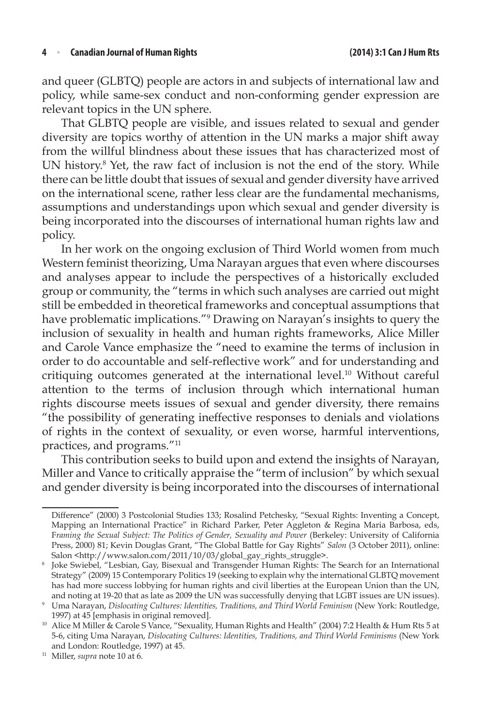and queer (GLBTQ) people are actors in and subjects of international law and policy, while same-sex conduct and non-conforming gender expression are relevant topics in the UN sphere.

That GLBTQ people are visible, and issues related to sexual and gender diversity are topics worthy of attention in the UN marks a major shift away from the willful blindness about these issues that has characterized most of UN history.<sup>8</sup> Yet, the raw fact of inclusion is not the end of the story. While there can be little doubt that issues of sexual and gender diversity have arrived on the international scene, rather less clear are the fundamental mechanisms, assumptions and understandings upon which sexual and gender diversity is being incorporated into the discourses of international human rights law and policy.

In her work on the ongoing exclusion of Third World women from much Western feminist theorizing, Uma Narayan argues that even where discourses and analyses appear to include the perspectives of a historically excluded group or community, the "terms in which such analyses are carried out might still be embedded in theoretical frameworks and conceptual assumptions that have problematic implications."9 Drawing on Narayan's insights to query the inclusion of sexuality in health and human rights frameworks, Alice Miller and Carole Vance emphasize the "need to examine the terms of inclusion in order to do accountable and self-reflective work" and for understanding and critiquing outcomes generated at the international level.10 Without careful attention to the terms of inclusion through which international human rights discourse meets issues of sexual and gender diversity, there remains "the possibility of generating ineffective responses to denials and violations of rights in the context of sexuality, or even worse, harmful interventions, practices, and programs."11

This contribution seeks to build upon and extend the insights of Narayan, Miller and Vance to critically appraise the "term of inclusion" by which sexual and gender diversity is being incorporated into the discourses of international

Difference" (2000) 3 Postcolonial Studies 133; Rosalind Petchesky, "Sexual Rights: Inventing a Concept, Mapping an International Practice" in Richard Parker, Peter Aggleton & Regina Maria Barbosa, eds, F*raming the Sexual Subject: The Politics of Gender, Sexuality and Power* (Berkeley: University of California Press, 2000) 81; Kevin Douglas Grant, "The Global Battle for Gay Rights" *Salon* (3 October 2011), online: Salon <http://www.salon.com/2011/10/03/global\_gay\_rights\_struggle>.

<sup>8</sup> Joke Swiebel, "Lesbian, Gay, Bisexual and Transgender Human Rights: The Search for an International Strategy" (2009) 15 Contemporary Politics 19 (seeking to explain why the international GLBTQ movement has had more success lobbying for human rights and civil liberties at the European Union than the UN,

and noting at 19-20 that as late as 2009 the UN was successfully denying that LGBT issues are UN issues). 9 Uma Narayan, *Dislocating Cultures: Identities, Traditions, and Third World Feminism* (New York: Routledge,

<sup>1997)</sup> at 45 [emphasis in original removed]. 10 Alice M Miller & Carole S Vance, "Sexuality, Human Rights and Health" (2004) 7:2 Health & Hum Rts 5 at 5-6, citing Uma Narayan, *Dislocating Cultures: Identities, Traditions, and Third World Feminisms* (New York and London: Routledge, 1997) at 45.

<sup>11</sup> Miller, *supra* note 10 at 6.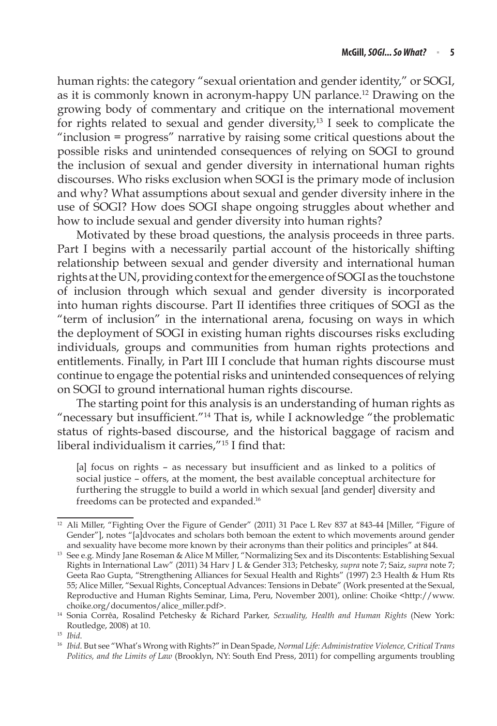human rights: the category "sexual orientation and gender identity," or SOGI, as it is commonly known in acronym-happy UN parlance.12 Drawing on the growing body of commentary and critique on the international movement for rights related to sexual and gender diversity,<sup>13</sup> I seek to complicate the "inclusion = progress" narrative by raising some critical questions about the possible risks and unintended consequences of relying on SOGI to ground the inclusion of sexual and gender diversity in international human rights discourses. Who risks exclusion when SOGI is the primary mode of inclusion and why? What assumptions about sexual and gender diversity inhere in the use of SOGI? How does SOGI shape ongoing struggles about whether and how to include sexual and gender diversity into human rights?

Motivated by these broad questions, the analysis proceeds in three parts. Part I begins with a necessarily partial account of the historically shifting relationship between sexual and gender diversity and international human rights at the UN, providing context for the emergence of SOGI as the touchstone of inclusion through which sexual and gender diversity is incorporated into human rights discourse. Part II identifies three critiques of SOGI as the "term of inclusion" in the international arena, focusing on ways in which the deployment of SOGI in existing human rights discourses risks excluding individuals, groups and communities from human rights protections and entitlements. Finally, in Part III I conclude that human rights discourse must continue to engage the potential risks and unintended consequences of relying on SOGI to ground international human rights discourse.

The starting point for this analysis is an understanding of human rights as "necessary but insufficient."14 That is, while I acknowledge "the problematic status of rights-based discourse, and the historical baggage of racism and liberal individualism it carries."<sup>15</sup> I find that:

[a] focus on rights – as necessary but insufficient and as linked to a politics of social justice – offers, at the moment, the best available conceptual architecture for furthering the struggle to build a world in which sexual [and gender] diversity and freedoms can be protected and expanded.<sup>16</sup>

<sup>&</sup>lt;sup>12</sup> Ali Miller, "Fighting Over the Figure of Gender" (2011) 31 Pace L Rev 837 at 843-44 [Miller, "Figure of Gender"], notes "[a]dvocates and scholars both bemoan the extent to which movements around gender and sexuality have become more known by their acronyms than their politics and principles" at 844.

<sup>&</sup>lt;sup>13</sup> See e.g. Mindy Jane Roseman & Alice M Miller, "Normalizing Sex and its Discontents: Establishing Sexual Rights in International Law" (2011) 34 Harv J L & Gender 313; Petchesky, *supra* note 7; Saiz, *supra* note 7; Geeta Rao Gupta, "Strengthening Alliances for Sexual Health and Rights" (1997) 2:3 Health & Hum Rts 55; Alice Miller, "Sexual Rights, Conceptual Advances: Tensions in Debate" (Work presented at the Sexual, Reproductive and Human Rights Seminar, Lima, Peru, November 2001), online: Choike <http://www. choike.org/documentos/alice\_miller.pdf>.

<sup>14</sup> Sonia Corrêa, Rosalind Petchesky & Richard Parker, *Sexuality, Health and Human Rights* (New York: Routledge, 2008) at 10.

<sup>15</sup> *Ibid*.

<sup>16</sup> *Ibid*. But see "What's Wrong with Rights?" in Dean Spade, *Normal Life: Administrative Violence, Critical Trans Politics, and the Limits of Law* (Brooklyn, NY: South End Press, 2011) for compelling arguments troubling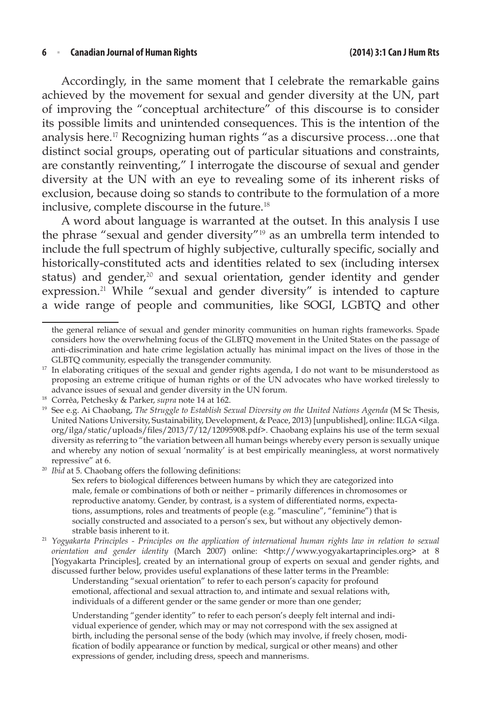#### **6** <sup>n</sup> **Canadian Journal of Human Rights (2014) 3:1 Can J Hum Rts**

Accordingly, in the same moment that I celebrate the remarkable gains achieved by the movement for sexual and gender diversity at the UN, part of improving the "conceptual architecture" of this discourse is to consider its possible limits and unintended consequences. This is the intention of the analysis here.<sup>17</sup> Recognizing human rights "as a discursive process…one that distinct social groups, operating out of particular situations and constraints, are constantly reinventing," I interrogate the discourse of sexual and gender diversity at the UN with an eye to revealing some of its inherent risks of exclusion, because doing so stands to contribute to the formulation of a more inclusive, complete discourse in the future.<sup>18</sup>

A word about language is warranted at the outset. In this analysis I use the phrase "sexual and gender diversity"<sup>19</sup> as an umbrella term intended to include the full spectrum of highly subjective, culturally specific, socially and historically-constituted acts and identities related to sex (including intersex status) and gender,<sup>20</sup> and sexual orientation, gender identity and gender expression.<sup>21</sup> While "sexual and gender diversity" is intended to capture a wide range of people and communities, like SOGI, LGBTQ and other

Sex refers to biological differences between humans by which they are categorized into male, female or combinations of both or neither – primarily differences in chromosomes or reproductive anatomy. Gender, by contrast, is a system of differentiated norms, expectations, assumptions, roles and treatments of people (e.g. "masculine", "feminine") that is socially constructed and associated to a person's sex, but without any objectively demonstrable basis inherent to it.

<sup>21</sup> *Yogyakarta Principles - Principles on the application of international human rights law in relation to sexual orientation and gender identity* (March 2007) online: <http://www.yogyakartaprinciples.org> at 8 [Yogyakarta Principles], created by an international group of experts on sexual and gender rights, and discussed further below, provides useful explanations of these latter terms in the Preamble:

Understanding "sexual orientation" to refer to each person's capacity for profound emotional, affectional and sexual attraction to, and intimate and sexual relations with, individuals of a different gender or the same gender or more than one gender;

Understanding "gender identity" to refer to each person's deeply felt internal and individual experience of gender, which may or may not correspond with the sex assigned at birth, including the personal sense of the body (which may involve, if freely chosen, modification of bodily appearance or function by medical, surgical or other means) and other expressions of gender, including dress, speech and mannerisms.

the general reliance of sexual and gender minority communities on human rights frameworks. Spade considers how the overwhelming focus of the GLBTQ movement in the United States on the passage of anti-discrimination and hate crime legislation actually has minimal impact on the lives of those in the GLBTQ community, especially the transgender community.

 $17$  In elaborating critiques of the sexual and gender rights agenda, I do not want to be misunderstood as proposing an extreme critique of human rights or of the UN advocates who have worked tirelessly to advance issues of sexual and gender diversity in the UN forum.

<sup>18</sup> Corrêa, Petchesky & Parker, *supra* note 14 at 162.

<sup>19</sup> See e.g. Ai Chaobang, *The Struggle to Establish Sexual Diversity on the United Nations Agenda* (M Sc Thesis, United Nations University, Sustainability, Development, & Peace, 2013) [unpublished], online: ILGA <ilga. org/ilga/static/uploads/files/2013/7/12/12095908.pdf>. Chaobang explains his use of the term sexual diversity as referring to "the variation between all human beings whereby every person is sexually unique and whereby any notion of sexual 'normality' is at best empirically meaningless, at worst normatively repressive" at 6.<br>*Ibid* at 5. Chaobang offers the following definitions: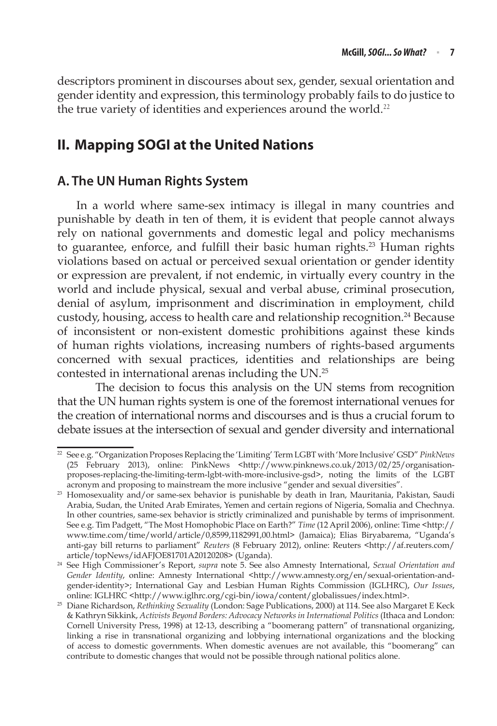descriptors prominent in discourses about sex, gender, sexual orientation and gender identity and expression, this terminology probably fails to do justice to the true variety of identities and experiences around the world.<sup>22</sup>

# **II. Mapping SOGI at the United Nations**

### **A. The UN Human Rights System**

In a world where same-sex intimacy is illegal in many countries and punishable by death in ten of them, it is evident that people cannot always rely on national governments and domestic legal and policy mechanisms to guarantee, enforce, and fulfill their basic human rights.<sup>23</sup> Human rights violations based on actual or perceived sexual orientation or gender identity or expression are prevalent, if not endemic, in virtually every country in the world and include physical, sexual and verbal abuse, criminal prosecution, denial of asylum, imprisonment and discrimination in employment, child custody, housing, access to health care and relationship recognition.<sup>24</sup> Because of inconsistent or non-existent domestic prohibitions against these kinds of human rights violations, increasing numbers of rights-based arguments concerned with sexual practices, identities and relationships are being contested in international arenas including the UN.25

The decision to focus this analysis on the UN stems from recognition that the UN human rights system is one of the foremost international venues for the creation of international norms and discourses and is thus a crucial forum to debate issues at the intersection of sexual and gender diversity and international

<sup>22</sup> See e.g. "Organization Proposes Replacing the 'Limiting' Term LGBT with 'More Inclusive' GSD" *PinkNews* (25 February 2013), online: PinkNews <http://www.pinknews.co.uk/2013/02/25/organisationproposes-replacing-the-limiting-term-lgbt-with-more-inclusive-gsd>, noting the limits of the LGBT acronym and proposing to mainstream the more inclusive "gender and sexual diversities".

<sup>&</sup>lt;sup>23</sup> Homosexuality and/or same-sex behavior is punishable by death in Iran, Mauritania, Pakistan, Saudi Arabia, Sudan, the United Arab Emirates, Yemen and certain regions of Nigeria, Somalia and Chechnya. In other countries, same-sex behavior is strictly criminalized and punishable by terms of imprisonment. See e.g. Tim Padgett, "The Most Homophobic Place on Earth?" *Time* (12 April 2006), online: Time <http:// www.time.com/time/world/article/0,8599,1182991,00.html> (Jamaica); Elias Biryabarema, "Uganda's anti-gay bill returns to parliament" *Reuters* (8 February 2012), online: Reuters <http://af.reuters.com/ article/topNews/idAFJOE81701A20120208> (Uganda). 24 See High Commissioner's Report, *supra* note 5. See also Amnesty International, *Sexual Orientation and* 

Gender Identity, online: Amnesty International <http://www.amnesty.org/en/sexual-orientation-andgender-identity>; International Gay and Lesbian Human Rights Commission (IGLHRC), *Our Issues*, online: IGLHRC <http://www.iglhrc.org/cgi-bin/iowa/content/globalissues/index.html>.

<sup>25</sup> Diane Richardson, *Rethinking Sexuality* (London: Sage Publications, 2000) at 114. See also Margaret E Keck & Kathryn Sikkink, *Activists Beyond Borders: Advocacy Networks in International Politics* (Ithaca and London: Cornell University Press, 1998) at 12-13, describing a "boomerang pattern" of transnational organizing, linking a rise in transnational organizing and lobbying international organizations and the blocking of access to domestic governments. When domestic avenues are not available, this "boomerang" can contribute to domestic changes that would not be possible through national politics alone.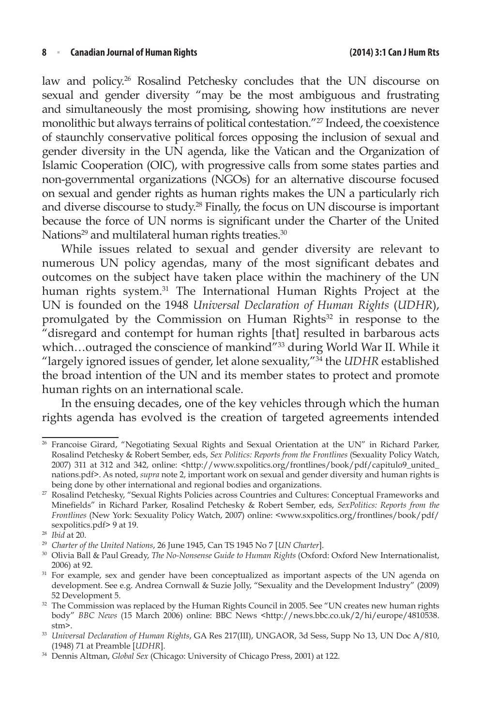#### **8** <sup>n</sup> **Canadian Journal of Human Rights (2014) 3:1 Can J Hum Rts**

law and policy.<sup>26</sup> Rosalind Petchesky concludes that the UN discourse on sexual and gender diversity "may be the most ambiguous and frustrating and simultaneously the most promising, showing how institutions are never monolithic but always terrains of political contestation."27 Indeed, the coexistence of staunchly conservative political forces opposing the inclusion of sexual and gender diversity in the UN agenda, like the Vatican and the Organization of Islamic Cooperation (OIC), with progressive calls from some states parties and non-governmental organizations (NGOs) for an alternative discourse focused on sexual and gender rights as human rights makes the UN a particularly rich and diverse discourse to study.28 Finally, the focus on UN discourse is important because the force of UN norms is significant under the Charter of the United Nations<sup>29</sup> and multilateral human rights treaties.<sup>30</sup>

While issues related to sexual and gender diversity are relevant to numerous UN policy agendas, many of the most significant debates and outcomes on the subject have taken place within the machinery of the UN human rights system.<sup>31</sup> The International Human Rights Project at the UN is founded on the 1948 *Universal Declaration of Human Rights* (*UDHR*), promulgated by the Commission on Human Rights<sup>32</sup> in response to the "disregard and contempt for human rights [that] resulted in barbarous acts which...outraged the conscience of mankind"<sup>33</sup> during World War II. While it "largely ignored issues of gender, let alone sexuality,"34 the *UDHR* established the broad intention of the UN and its member states to protect and promote human rights on an international scale.

In the ensuing decades, one of the key vehicles through which the human rights agenda has evolved is the creation of targeted agreements intended

<sup>&</sup>lt;sup>26</sup> Francoise Girard, "Negotiating Sexual Rights and Sexual Orientation at the UN" in Richard Parker, Rosalind Petchesky & Robert Sember, eds, *Sex Politics: Reports from the Frontlines* (Sexuality Policy Watch, 2007) 311 at 312 and 342, online: <http://www.sxpolitics.org/frontlines/book/pdf/capitulo9\_united\_ nations.pdf>. As noted, *supra* note 2, important work on sexual and gender diversity and human rights is

being done by other international and regional bodies and organizations.<br><sup>27</sup> Rosalind Petchesky, "Sexual Rights Policies across Countries and Cultures: Conceptual Frameworks and Minefields" in Richard Parker, Rosalind Petchesky & Robert Sember, eds, *SexPolitics: Reports from the Frontlines* (New York: Sexuality Policy Watch, 2007) online: <www.sxpolitics.org/frontlines/book/pdf/ sexpolitics.pdf> 9 at 19.

<sup>&</sup>lt;sup>28</sup> Ibid at 20.<br><sup>29</sup> Charter of the United Nations, 26 June 1945, Can TS 1945 No 7 [UN Charter].

<sup>&</sup>lt;sup>30</sup> Olivia Ball & Paul Gready, *The No-Nonsense Guide to Human Rights* (Oxford: Oxford New Internationalist, 2006) at 92.  $\frac{31}{10}$  For example, sex and gender have been conceptualized as important aspects of the UN agenda on

development. See e.g. Andrea Cornwall & Suzie Jolly, "Sexuality and the Development Industry" (2009) 52 Development 5.

 $32$  The Commission was replaced by the Human Rights Council in 2005. See "UN creates new human rights body" *BBC News* (15 March 2006) online: BBC News <http://news.bbc.co.uk/2/hi/europe/4810538. stm>.

<sup>33</sup> *Universal Declaration of Human Rights*, GA Res 217(III), UNGAOR, 3d Sess, Supp No 13, UN Doc A/810, (1948) 71 at Preamble [*UDHR*].

<sup>34</sup> Dennis Altman, *Global Sex* (Chicago: University of Chicago Press, 2001) at 122.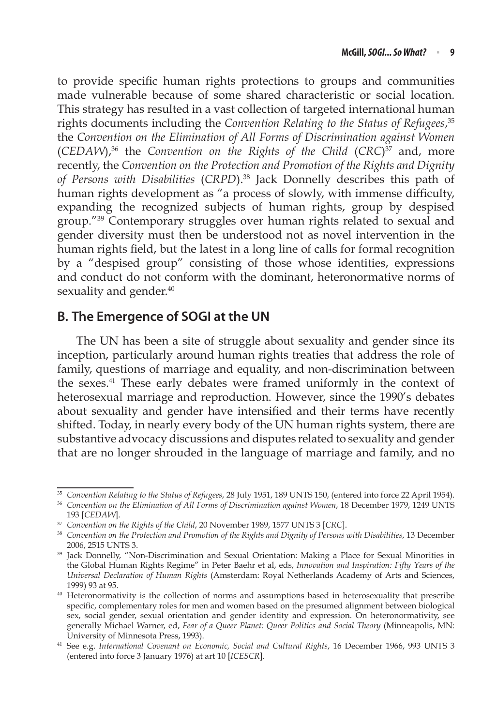to provide specific human rights protections to groups and communities made vulnerable because of some shared characteristic or social location. This strategy has resulted in a vast collection of targeted international human rights documents including the *Convention Relating to the Status of Refugees*, 35 the *Convention on the Elimination of All Forms of Discrimination against Women* (*CEDAW*),36 the *Convention on the Rights of the Child* (*CRC*)37 and, more recently, the *Convention on the Protection and Promotion of the Rights and Dignity of Persons with Disabilities* (*CRPD*).38 Jack Donnelly describes this path of human rights development as "a process of slowly, with immense difficulty, expanding the recognized subjects of human rights, group by despised group."39 Contemporary struggles over human rights related to sexual and gender diversity must then be understood not as novel intervention in the human rights field, but the latest in a long line of calls for formal recognition by a "despised group" consisting of those whose identities, expressions and conduct do not conform with the dominant, heteronormative norms of sexuality and gender.<sup>40</sup>

### **B. The Emergence of SOGI at the UN**

The UN has been a site of struggle about sexuality and gender since its inception, particularly around human rights treaties that address the role of family, questions of marriage and equality, and non-discrimination between the sexes.<sup>41</sup> These early debates were framed uniformly in the context of heterosexual marriage and reproduction. However, since the 1990's debates about sexuality and gender have intensified and their terms have recently shifted. Today, in nearly every body of the UN human rights system, there are substantive advocacy discussions and disputes related to sexuality and gender that are no longer shrouded in the language of marriage and family, and no

<sup>&</sup>lt;sup>35</sup> Convention Relating to the Status of Refugees, 28 July 1951, 189 UNTS 150, (entered into force 22 April 1954).<br><sup>36</sup> Convention on the Elimination of All Forms of Discrimination against Women, 18 December 1979, 1249 UN

<sup>193 [</sup>*CEDAW*].

<sup>37</sup> *Convention on the Rights of the Child*, 20 November 1989, 1577 UNTS 3 [*CRC*].

<sup>38</sup> *Convention on the Protection and Promotion of the Rights and Dignity of Persons with Disabilities*, 13 December 2006, 2515 UNTS 3.

<sup>&</sup>lt;sup>39</sup> Jack Donnelly, "Non-Discrimination and Sexual Orientation: Making a Place for Sexual Minorities in the Global Human Rights Regime" in Peter Baehr et al, eds, *Innovation and Inspiration: Fifty Years of the Universal Declaration of Human Rights* (Amsterdam: Royal Netherlands Academy of Arts and Sciences, 1999) 93 at 95.

<sup>40</sup> Heteronormativity is the collection of norms and assumptions based in heterosexuality that prescribe specific, complementary roles for men and women based on the presumed alignment between biological sex, social gender, sexual orientation and gender identity and expression. On heteronormativity, see generally Michael Warner, ed, *Fear of a Queer Planet: Queer Politics and Social Theory* (Minneapolis, MN: University of Minnesota Press, 1993).

<sup>&</sup>lt;sup>41</sup> See e.g. *International Covenant on Economic, Social and Cultural Rights*, 16 December 1966, 993 UNTS 3 (entered into force 3 January 1976) at art 10 [*ICESCR*].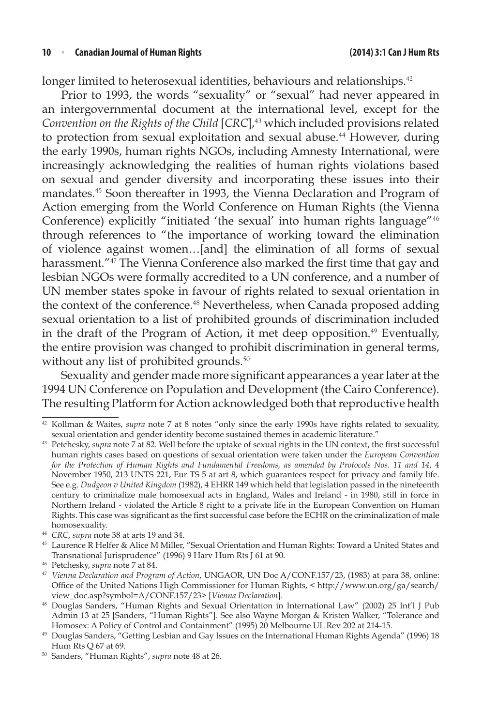longer limited to heterosexual identities, behaviours and relationships.<sup>42</sup>

Prior to 1993, the words "sexuality" or "sexual" had never appeared in an intergovernmental document at the international level, except for the *Convention on the Rights of the Child* [*CRC*],<sup>43</sup> which included provisions related to protection from sexual exploitation and sexual abuse.<sup>44</sup> However, during the early 1990s, human rights NGOs, including Amnesty International, were increasingly acknowledging the realities of human rights violations based on sexual and gender diversity and incorporating these issues into their mandates.<sup>45</sup> Soon thereafter in 1993, the Vienna Declaration and Program of Action emerging from the World Conference on Human Rights (the Vienna Conference) explicitly "initiated 'the sexual' into human rights language"<sup>46</sup> through references to "the importance of working toward the elimination of violence against women…[and] the elimination of all forms of sexual harassment."<sup>47</sup> The Vienna Conference also marked the first time that gay and lesbian NGOs were formally accredited to a UN conference, and a number of UN member states spoke in favour of rights related to sexual orientation in the context of the conference.<sup>48</sup> Nevertheless, when Canada proposed adding sexual orientation to a list of prohibited grounds of discrimination included in the draft of the Program of Action, it met deep opposition.<sup>49</sup> Eventually, the entire provision was changed to prohibit discrimination in general terms, without any list of prohibited grounds.<sup>50</sup>

Sexuality and gender made more significant appearances a year later at the 1994 UN Conference on Population and Development (the Cairo Conference). The resulting Platform for Action acknowledged both that reproductive health

<sup>42</sup> Kollman & Waites, *supra* note 7 at 8 notes "only since the early 1990s have rights related to sexuality, sexual orientation and gender identity become sustained themes in academic literature."

<sup>43</sup> Petchesky, *supra* note 7 at 82. Well before the uptake of sexual rights in the UN context, the first successful human rights cases based on questions of sexual orientation were taken under the *European Convention for the Protection of Human Rights and Fundamental Freedoms, as amended by Protocols Nos. 11 and 14*, 4 November 1950, 213 UNTS 221, Eur TS 5 at art 8, which guarantees respect for privacy and family life. See e.g. *Dudgeon v United Kingdom* (1982), 4 EHRR 149 which held that legislation passed in the nineteenth century to criminalize male homosexual acts in England, Wales and Ireland - in 1980, still in force in Northern Ireland - violated the Article 8 right to a private life in the European Convention on Human Rights. This case was significant as the first successful case before the ECHR on the criminalization of male homosexuality.<br><sup>44</sup> *CRC*, *supra* note 38 at arts 19 and 34.<br><sup>45</sup> Laurence R Helfer & Alice M Miller, "Sexual Orientation and Human Rights: Toward a United States and

Transnational Jurisprudence" (1996) 9 Harv Hum Rts J 61 at 90.

<sup>46</sup> Petchesky, *supra* note 7 at 84.

<sup>47</sup> *Vienna Declaration and Program of Action*, UNGAOR, UN Doc A/CONF.157/23, (1983) at para 38, online: Office of the United Nations High Commissioner for Human Rights, < http://www.un.org/ga/search/ view\_doc.asp?symbol=A/CONF.157/23> [*Vienna Declaration*].

<sup>48</sup> Douglas Sanders, "Human Rights and Sexual Orientation in International Law" (2002) 25 Int'l J Pub Admin 13 at 25 [Sanders, "Human Rights"]. See also Wayne Morgan & Kristen Walker, "Tolerance and

Homosex: A Policy of Control and Containment" (1995) 20 Melbourne UL Rev 202 at 214-15. 49 Douglas Sanders, "Getting Lesbian and Gay Issues on the International Human Rights Agenda" (1996) 18 Hum Rts Q 67 at 69.

<sup>50</sup> Sanders, "Human Rights", *supra* note 48 at 26.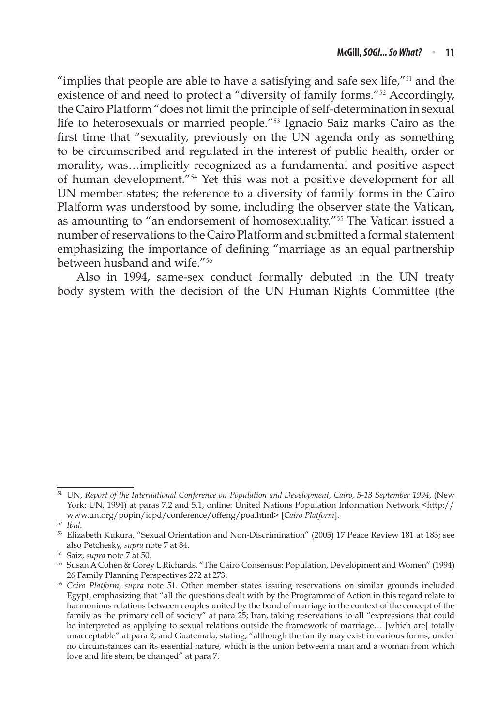"implies that people are able to have a satisfying and safe sex life,"<sup>51</sup> and the existence of and need to protect a "diversity of family forms."<sup>52</sup> Accordingly, the Cairo Platform "does not limit the principle of self-determination in sexual life to heterosexuals or married people."<sup>53</sup> Ignacio Saiz marks Cairo as the first time that "sexuality, previously on the UN agenda only as something to be circumscribed and regulated in the interest of public health, order or morality, was…implicitly recognized as a fundamental and positive aspect of human development."<sup>54</sup> Yet this was not a positive development for all UN member states; the reference to a diversity of family forms in the Cairo Platform was understood by some, including the observer state the Vatican, as amounting to "an endorsement of homosexuality."<sup>55</sup> The Vatican issued a number of reservations to the Cairo Platform and submitted a formal statement emphasizing the importance of defining "marriage as an equal partnership between husband and wife."<sup>56</sup>

Also in 1994, same-sex conduct formally debuted in the UN treaty body system with the decision of the UN Human Rights Committee (the

<sup>51</sup> UN, *Report of the International Conference on Population and Development, Cairo, 5-13 September 1994*, (New York: UN, 1994) at paras 7.2 and 5.1, online: United Nations Population Information Network <http:// www.un.org/popin/icpd/conference/offeng/poa.html> [*Cairo Platform*].

<sup>52</sup> *Ibid*.

<sup>53</sup> Elizabeth Kukura, "Sexual Orientation and Non-Discrimination" (2005) 17 Peace Review 181 at 183; see also Petchesky, *supra* note 7 at 84. 54 Saiz, *supra* note 7 at 50.

<sup>55</sup> Susan A Cohen & Corey L Richards, "The Cairo Consensus: Population, Development and Women" (1994) 26 Family Planning Perspectives 272 at 273. 56 *Cairo Platform*, *supra* note 51. Other member states issuing reservations on similar grounds included

Egypt, emphasizing that "all the questions dealt with by the Programme of Action in this regard relate to harmonious relations between couples united by the bond of marriage in the context of the concept of the family as the primary cell of society" at para 25; Iran, taking reservations to all "expressions that could be interpreted as applying to sexual relations outside the framework of marriage… [which are] totally unacceptable" at para 2; and Guatemala, stating, "although the family may exist in various forms, under no circumstances can its essential nature, which is the union between a man and a woman from which love and life stem, be changed" at para 7.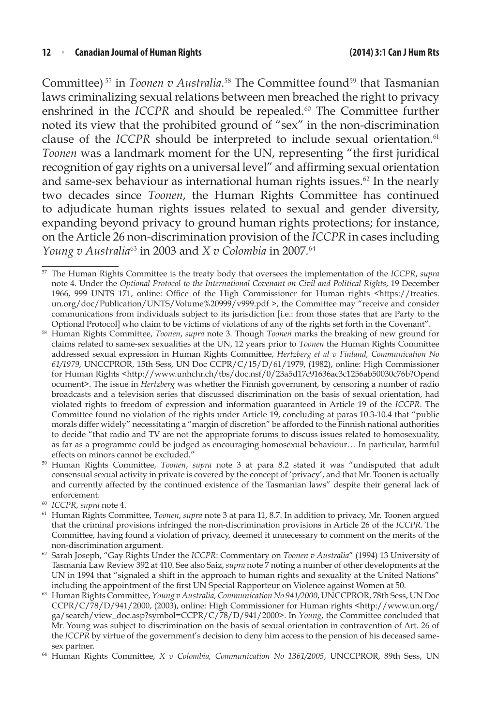Committee)<sup>57</sup> in *Toonen v Australia*.<sup>58</sup> The Committee found<sup>59</sup> that Tasmanian laws criminalizing sexual relations between men breached the right to privacy enshrined in the *ICCPR* and should be repealed.<sup>60</sup> The Committee further noted its view that the prohibited ground of "sex" in the non-discrimination clause of the *ICCPR* should be interpreted to include sexual orientation.<sup>61</sup> *Toonen* was a landmark moment for the UN, representing "the first juridical recognition of gay rights on a universal level" and affirming sexual orientation and same-sex behaviour as international human rights issues. $62$  In the nearly two decades since *Toonen*, the Human Rights Committee has continued to adjudicate human rights issues related to sexual and gender diversity, expanding beyond privacy to ground human rights protections; for instance, on the Article 26 non-discrimination provision of the *ICCPR* in cases including *Young v Australia*<sup>63</sup> in 2003 and *X v Colombia* in 2007*.* 64

<sup>57</sup> The Human Rights Committee is the treaty body that oversees the implementation of the *ICCPR*, *supra* note 4. Under the *Optional Protocol to the International Covenant on Civil and Political Rights*, 19 December 1966, 999 UNTS 171, online: Office of the High Commissioner for Human rights <https://treaties. un.org/doc/Publication/UNTS/Volume%20999/v999.pdf >, the Committee may "receive and consider communications from individuals subject to its jurisdiction [i.e.: from those states that are Party to the

Optional Protocol] who claim to be victims of violations of any of the rights set forth in the Covenant".<br>Human Rights Committee, Toonen, supra note 3. Though Toonen marks the breaking of new ground for claims related to same-sex sexualities at the UN, 12 years prior to *Toonen* the Human Rights Committee addressed sexual expression in Human Rights Committee, *Hertzberg et al v Finland, Communication No 61/1979*, UNCCPROR, 15th Sess, UN Doc CCPR/C/15/D/61/1979, (1982), online: High Commissioner for Human Rights <http://www.unhchr.ch/tbs/doc.nsf/0/23a5d17c91636ac3c1256ab50030c76b?Opend ocument>. The issue in *Hertzberg* was whether the Finnish government, by censoring a number of radio broadcasts and a television series that discussed discrimination on the basis of sexual orientation, had violated rights to freedom of expression and information guaranteed in Article 19 of the *ICCPR*. The Committee found no violation of the rights under Article 19, concluding at paras 10.3-10.4 that "public morals differ widely" necessitating a "margin of discretion" be afforded to the Finnish national authorities to decide "that radio and TV are not the appropriate forums to discuss issues related to homosexuality, as far as a programme could be judged as encouraging homosexual behaviour… In particular, harmful

effects on minors cannot be excluded." 59 Human Rights Committee, *Toonen*, *supra* note 3 at para 8.2 stated it was "undisputed that adult consensual sexual activity in private is covered by the concept of 'privacy', and that Mr. Toonen is actually and currently affected by the continued existence of the Tasmanian laws" despite their general lack of enforcement.

<sup>60</sup> *ICCPR*, *supra* note 4.

<sup>61</sup> Human Rights Committee, *Toonen*, *supra* note 3 at para 11, 8.7. In addition to privacy, Mr. Toonen argued that the criminal provisions infringed the non-discrimination provisions in Article 26 of the *ICCPR*. The Committee, having found a violation of privacy, deemed it unnecessary to comment on the merits of the non-discrimination argument.

<sup>62</sup> Sarah Joseph, "Gay Rights Under the *ICCPR*: Commentary on *Toonen v Australia*" (1994) 13 University of Tasmania Law Review 392 at 410. See also Saiz, *supra* note 7 noting a number of other developments at the UN in 1994 that "signaled a shift in the approach to human rights and sexuality at the United Nations" including the appointment of the first UN Special Rapporteur on Violence against Women at 50.

Human Rights Committee, *Young v Australia, Communication No 941/2000*, UNCCPROR, 78th Sess, UN Doc CCPR/C/78/D/941/2000, (2003), online: High Commissioner for Human rights <http://www.un.org/ ga/search/view\_doc.asp?symbol=CCPR/C/78/D/941/2000>. In *Young*, the Committee concluded that Mr. Young was subject to discrimination on the basis of sexual orientation in contravention of Art. 26 of the *ICCPR* by virtue of the government's decision to deny him access to the pension of his deceased samesex partner.<br>Human Rights Committee, *X v Colombia, Communication No 1361/2005*, UNCCPROR, 89th Sess, UN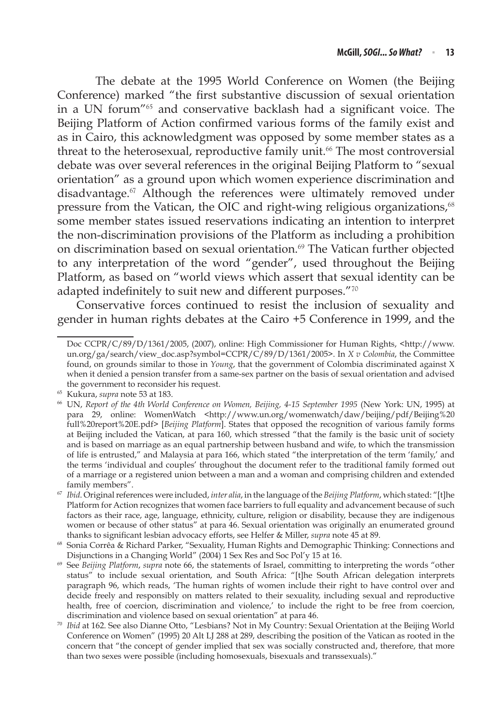The debate at the 1995 World Conference on Women (the Beijing Conference) marked "the first substantive discussion of sexual orientation in a UN forum"<sup>65</sup> and conservative backlash had a significant voice. The Beijing Platform of Action confirmed various forms of the family exist and as in Cairo, this acknowledgment was opposed by some member states as a threat to the heterosexual, reproductive family unit.<sup>66</sup> The most controversial debate was over several references in the original Beijing Platform to "sexual orientation" as a ground upon which women experience discrimination and disadvantage.<sup>67</sup> Although the references were ultimately removed under pressure from the Vatican, the OIC and right-wing religious organizations,<sup>68</sup> some member states issued reservations indicating an intention to interpret the non-discrimination provisions of the Platform as including a prohibition on discrimination based on sexual orientation.<sup>69</sup> The Vatican further objected to any interpretation of the word "gender", used throughout the Beijing Platform, as based on "world views which assert that sexual identity can be adapted indefinitely to suit new and different purposes."<sup>70</sup>

Conservative forces continued to resist the inclusion of sexuality and gender in human rights debates at the Cairo +5 Conference in 1999, and the

Doc CCPR/C/89/D/1361/2005, (2007), online: High Commissioner for Human Rights, <http://www. un.org/ga/search/view\_doc.asp?symbol=CCPR/C/89/D/1361/2005>. In *X v Colombia*, the Committee found, on grounds similar to those in *Young*, that the government of Colombia discriminated against X when it denied a pension transfer from a same-sex partner on the basis of sexual orientation and advised the government to reconsider his request.

<sup>65</sup> Kukura, *supra* note 53 at 183.

<sup>66</sup> UN, *Report of the 4th World Conference on Women, Beijing, 4-15 September 1995* (New York: UN, 1995) at para 29, online: WomenWatch <http://www.un.org/womenwatch/daw/beijing/pdf/Beijing%20 full%20report%20E.pdf> [*Beijing Platform*]. States that opposed the recognition of various family forms at Beijing included the Vatican, at para 160, which stressed "that the family is the basic unit of society and is based on marriage as an equal partnership between husband and wife, to which the transmission of life is entrusted," and Malaysia at para 166, which stated "the interpretation of the term 'family,' and the terms 'individual and couples' throughout the document refer to the traditional family formed out of a marriage or a registered union between a man and a woman and comprising children and extended family members".

<sup>67</sup> *Ibid*. Original references were included, *inter alia*, in the language of the *Beijing Platform*, which stated: "[t]he Platform for Action recognizes that women face barriers to full equality and advancement because of such factors as their race, age, language, ethnicity, culture, religion or disability, because they are indigenous women or because of other status" at para 46. Sexual orientation was originally an enumerated ground thanks to significant lesbian advocacy efforts, see Helfer & Miller, *supra* note 45 at 89.

<sup>68</sup> Sonia Corrêa & Richard Parker, "Sexuality, Human Rights and Demographic Thinking: Connections and Disjunctions in a Changing World" (2004) 1 Sex Res and Soc Pol'y 15 at 16.

<sup>69</sup> See *Beijing Platform*, *supra* note 66, the statements of Israel, committing to interpreting the words "other status" to include sexual orientation, and South Africa: "[t]he South African delegation interprets paragraph 96, which reads, 'The human rights of women include their right to have control over and decide freely and responsibly on matters related to their sexuality, including sexual and reproductive health, free of coercion, discrimination and violence,' to include the right to be free from coercion, discrimination and violence based on sexual orientation" at para 46.

<sup>70</sup> *Ibid* at 162. See also Dianne Otto, "Lesbians? Not in My Country: Sexual Orientation at the Beijing World Conference on Women" (1995) 20 Alt LJ 288 at 289, describing the position of the Vatican as rooted in the concern that "the concept of gender implied that sex was socially constructed and, therefore, that more than two sexes were possible (including homosexuals, bisexuals and transsexuals)."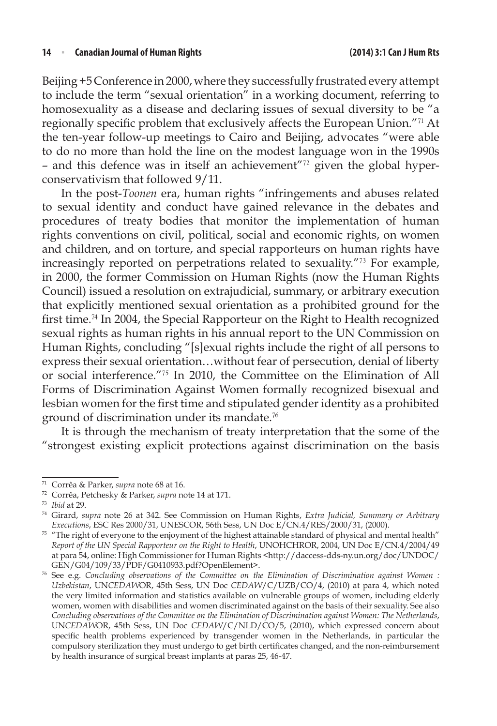Beijing +5 Conference in 2000, where they successfully frustrated every attempt to include the term "sexual orientation" in a working document, referring to homosexuality as a disease and declaring issues of sexual diversity to be "a regionally specific problem that exclusively affects the European Union."<sup>71</sup> At the ten-year follow-up meetings to Cairo and Beijing, advocates "were able to do no more than hold the line on the modest language won in the 1990s – and this defence was in itself an achievement"72 given the global hyperconservativism that followed 9/11.

In the post-*Toonen* era, human rights "infringements and abuses related to sexual identity and conduct have gained relevance in the debates and procedures of treaty bodies that monitor the implementation of human rights conventions on civil, political, social and economic rights, on women and children, and on torture, and special rapporteurs on human rights have increasingly reported on perpetrations related to sexuality."<sup>73</sup> For example, in 2000, the former Commission on Human Rights (now the Human Rights Council) issued a resolution on extrajudicial, summary, or arbitrary execution that explicitly mentioned sexual orientation as a prohibited ground for the first time.<sup>74</sup> In 2004, the Special Rapporteur on the Right to Health recognized sexual rights as human rights in his annual report to the UN Commission on Human Rights, concluding "[s]exual rights include the right of all persons to express their sexual orientation…without fear of persecution, denial of liberty or social interference."<sup>75</sup> In 2010, the Committee on the Elimination of All Forms of Discrimination Against Women formally recognized bisexual and lesbian women for the first time and stipulated gender identity as a prohibited ground of discrimination under its mandate.<sup>76</sup>

It is through the mechanism of treaty interpretation that the some of the "strongest existing explicit protections against discrimination on the basis

<sup>71</sup> Corrêa & Parker, *supra* note 68 at 16.

<sup>72</sup> Corrêa, Petchesky & Parker, *supra* note 14 at 171.

<sup>73</sup> *Ibid* at 29. 74 Girard, *supra* note 26 at 342. See Commission on Human Rights, *Extra Judicial, Summary or Arbitrary Executions*, ESC Res 2000/31, UNESCOR, 56th Sess, UN Doc E/CN.4/RES/2000/31, (2000).

<sup>&</sup>lt;sup>75</sup> "The right of everyone to the enjoyment of the highest attainable standard of physical and mental health" *Report of the UN Special Rapporteur on the Right to Health*, UNOHCHROR, 2004, UN Doc E/CN.4/2004/49 at para 54, online: High Commissioner for Human Rights <http://daccess-dds-ny.un.org/doc/UNDOC/ GEN/G04/109/33/PDF/G0410933.pdf?OpenElement>.

<sup>76</sup> See e.g. *Concluding observations of the Committee on the Elimination of Discrimination against Women : Uzbekistan*, UN*CEDAW*OR, 45th Sess, UN Doc *CEDAW*/C/UZB/CO/4, (2010) at para 4, which noted the very limited information and statistics available on vulnerable groups of women, including elderly women, women with disabilities and women discriminated against on the basis of their sexuality. See also *Concluding observations of the Committee on the Elimination of Discrimination against Women: The Netherlands*, UN*CEDAW*OR, 45th Sess, UN Doc *CEDAW*/C/NLD/CO/5, (2010), which expressed concern about specific health problems experienced by transgender women in the Netherlands, in particular the compulsory sterilization they must undergo to get birth certificates changed, and the non-reimbursement by health insurance of surgical breast implants at paras 25, 46-47.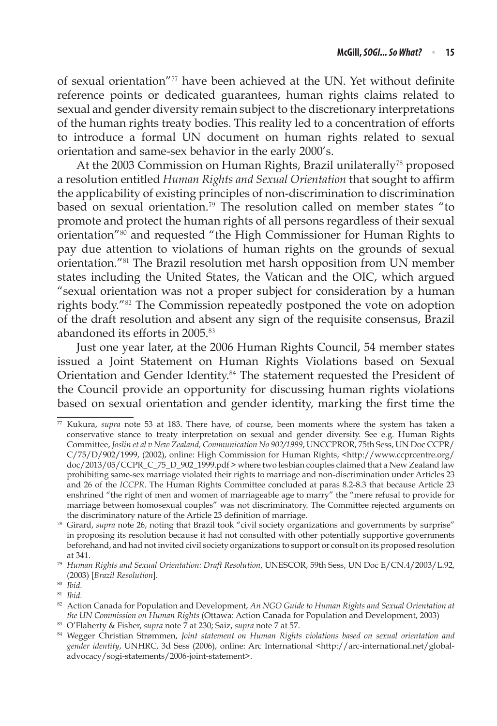of sexual orientation"<sup>77</sup> have been achieved at the UN. Yet without definite reference points or dedicated guarantees, human rights claims related to sexual and gender diversity remain subject to the discretionary interpretations of the human rights treaty bodies. This reality led to a concentration of efforts to introduce a formal UN document on human rights related to sexual orientation and same-sex behavior in the early 2000's.

At the 2003 Commission on Human Rights, Brazil unilaterally<sup>78</sup> proposed a resolution entitled *Human Rights and Sexual Orientation* that sought to affirm the applicability of existing principles of non-discrimination to discrimination based on sexual orientation.<sup>79</sup> The resolution called on member states "to promote and protect the human rights of all persons regardless of their sexual orientation"<sup>80</sup> and requested "the High Commissioner for Human Rights to pay due attention to violations of human rights on the grounds of sexual orientation."<sup>81</sup> The Brazil resolution met harsh opposition from UN member states including the United States, the Vatican and the OIC, which argued "sexual orientation was not a proper subject for consideration by a human rights body."<sup>82</sup> The Commission repeatedly postponed the vote on adoption of the draft resolution and absent any sign of the requisite consensus, Brazil abandoned its efforts in 2005.<sup>83</sup>

Just one year later, at the 2006 Human Rights Council, 54 member states issued a Joint Statement on Human Rights Violations based on Sexual Orientation and Gender Identity.<sup>84</sup> The statement requested the President of the Council provide an opportunity for discussing human rights violations based on sexual orientation and gender identity, marking the first time the

<sup>77</sup> Kukura, *supra* note 53 at 183. There have, of course, been moments where the system has taken a conservative stance to treaty interpretation on sexual and gender diversity. See e.g. Human Rights Committee, *Joslin et al v New Zealand, Communication No 902/1999*, UNCCPROR, 75th Sess, UN Doc CCPR/ C/75/D/902/1999, (2002), online: High Commission for Human Rights, <http://www.ccprcentre.org/ doc/2013/05/CCPR\_C\_75\_D\_902\_1999.pdf > where two lesbian couples claimed that a New Zealand law prohibiting same-sex marriage violated their rights to marriage and non-discrimination under Articles 23 and 26 of the *ICCPR*. The Human Rights Committee concluded at paras 8.2-8.3 that because Article 23 enshrined "the right of men and women of marriageable age to marry" the "mere refusal to provide for marriage between homosexual couples" was not discriminatory. The Committee rejected arguments on the discriminatory nature of the Article 23 definition of marriage.

<sup>78</sup> Girard, *supra* note 26, noting that Brazil took "civil society organizations and governments by surprise" in proposing its resolution because it had not consulted with other potentially supportive governments beforehand, and had not invited civil society organizations to support or consult on its proposed resolution at 341. 79 *Human Rights and Sexual Orientation: Draft Resolution*, UNESCOR, 59th Sess, UN Doc E/CN.4/2003/L.92,

<sup>(2003) [</sup>*Brazil Resolution*].

<sup>80</sup> *Ibid*.

<sup>82</sup> Action Canada for Population and Development, *An NGO Guide to Human Rights and Sexual Orientation at the UN Commission on Human Rights* (Ottawa: Action Canada for Population and Development, 2003)

<sup>83</sup> O'Flaherty & Fisher, *supra* note 7 at 230; Saiz, *supra* note 7 at 57. 84 Wegger Christian Strømmen, *Joint statement on Human Rights violations based on sexual orientation and gender identity*, UNHRC, 3d Sess (2006), online: Arc International <http://arc-international.net/globaladvocacy/sogi-statements/2006-joint-statement>.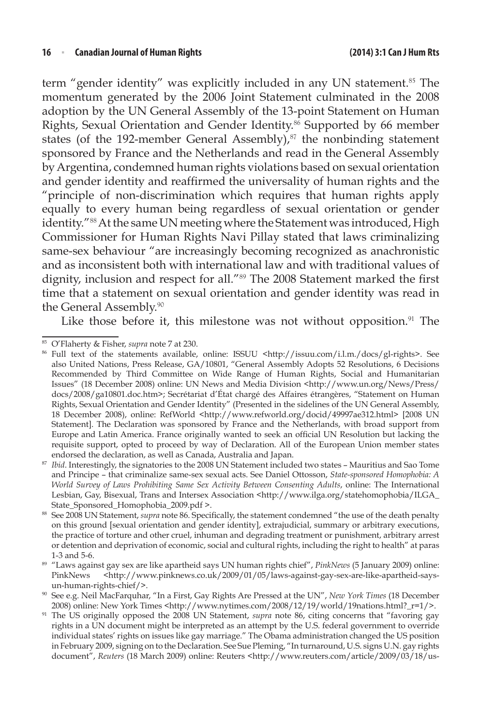term "gender identity" was explicitly included in any UN statement.<sup>85</sup> The momentum generated by the 2006 Joint Statement culminated in the 2008 adoption by the UN General Assembly of the 13-point Statement on Human Rights, Sexual Orientation and Gender Identity.<sup>86</sup> Supported by 66 member states (of the 192-member General Assembly), $87$  the nonbinding statement sponsored by France and the Netherlands and read in the General Assembly by Argentina, condemned human rights violations based on sexual orientation and gender identity and reaffirmed the universality of human rights and the "principle of non-discrimination which requires that human rights apply equally to every human being regardless of sexual orientation or gender identity."<sup>88</sup> At the same UN meeting where the Statement was introduced, High Commissioner for Human Rights Navi Pillay stated that laws criminalizing same-sex behaviour "are increasingly becoming recognized as anachronistic and as inconsistent both with international law and with traditional values of dignity, inclusion and respect for all."<sup>89</sup> The 2008 Statement marked the first time that a statement on sexual orientation and gender identity was read in the General Assembly.<sup>90</sup>

Like those before it, this milestone was not without opposition. $91$  The

<sup>&</sup>lt;sup>85</sup> O'Flaherty & Fisher, *supra* note 7 at 230.<br><sup>86</sup> Full text of the statements available, online: ISSUU <http://issuu.com/i.l.m./docs/gl-rights>. See also United Nations, Press Release, GA/10801, "General Assembly Adopts 52 Resolutions, 6 Decisions Recommended by Third Committee on Wide Range of Human Rights, Social and Humanitarian Issues" (18 December 2008) online: UN News and Media Division <http://www.un.org/News/Press/ docs/2008/ga10801.doc.htm>; Secrétariat d'État chargé des Affaires étrangères, "Statement on Human Rights, Sexual Orientation and Gender Identity" (Presented in the sidelines of the UN General Assembly, 18 December 2008), online: RefWorld <http://www.refworld.org/docid/49997ae312.html> [2008 UN Statement]. The Declaration was sponsored by France and the Netherlands, with broad support from Europe and Latin America. France originally wanted to seek an official UN Resolution but lacking the requisite support, opted to proceed by way of Declaration. All of the European Union member states endorsed the declaration, as well as Canada, Australia and Japan.

<sup>87</sup> *Ibid*. Interestingly, the signatories to the 2008 UN Statement included two states – Mauritius and Sao Tome and Principe – that criminalize same-sex sexual acts. See Daniel Ottosson, *State-sponsored Homophobia: A World Survey of Laws Prohibiting Same Sex Activity Between Consenting Adults*, online: The International Lesbian, Gay, Bisexual, Trans and Intersex Association <http://www.ilga.org/statehomophobia/ILGA\_ State\_Sponsored\_Homophobia\_2009.pdf >.

<sup>88</sup> See 2008 UN Statement, *supra* note 86. Specifically, the statement condemned "the use of the death penalty on this ground [sexual orientation and gender identity], extrajudicial, summary or arbitrary executions, the practice of torture and other cruel, inhuman and degrading treatment or punishment, arbitrary arrest or detention and deprivation of economic, social and cultural rights, including the right to health" at paras 1-3 and 5-6.

<sup>89</sup> "Laws against gay sex are like apartheid says UN human rights chief", *PinkNews* (5 January 2009) online: PinkNews <http://www.pinknews.co.uk/2009/01/05/laws-against-gay-sex-are-like-apartheid-saysun-human-rights-chief/>.

<sup>90</sup> See e.g. Neil MacFarquhar, "In a First, Gay Rights Are Pressed at the UN", *New York Times* (18 December 2008) online: New York Times <http://www.nytimes.com/2008/12/19/world/19nations.html?\_r=1/>.

<sup>91</sup> The US originally opposed the 2008 UN Statement, *supra* note 86, citing concerns that "favoring gay rights in a UN document might be interpreted as an attempt by the U.S. federal government to override individual states' rights on issues like gay marriage." The Obama administration changed the US position in February 2009, signing on to the Declaration. See Sue Pleming, "In turnaround, U.S. signs U.N. gay rights document", *Reuters* (18 March 2009) online: Reuters <http://www.reuters.com/article/2009/03/18/us-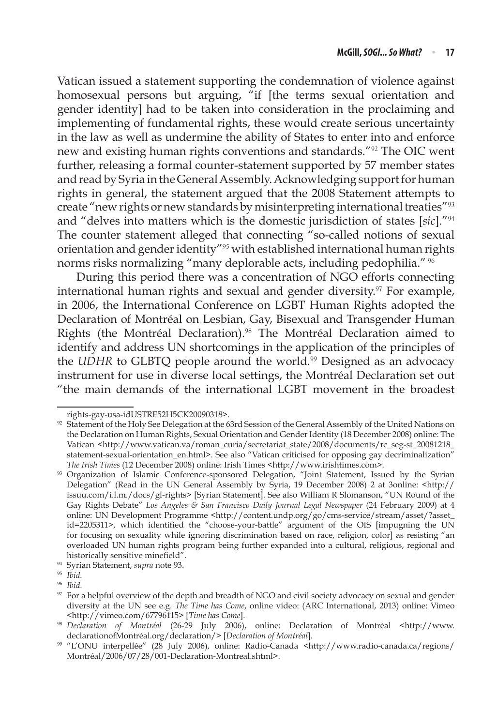Vatican issued a statement supporting the condemnation of violence against homosexual persons but arguing, "if [the terms sexual orientation and gender identity] had to be taken into consideration in the proclaiming and implementing of fundamental rights, these would create serious uncertainty in the law as well as undermine the ability of States to enter into and enforce new and existing human rights conventions and standards."<sup>92</sup> The OIC went further, releasing a formal counter-statement supported by 57 member states and read by Syria in the General Assembly. Acknowledging support for human rights in general, the statement argued that the 2008 Statement attempts to create "new rights or new standards by misinterpreting international treaties"<sup>93</sup> and "delves into matters which is the domestic jurisdiction of states [*sic*]."<sup>94</sup> The counter statement alleged that connecting "so-called notions of sexual orientation and gender identity"<sup>95</sup> with established international human rights norms risks normalizing "many deplorable acts, including pedophilia." <sup>96</sup>

During this period there was a concentration of NGO efforts connecting international human rights and sexual and gender diversity.<sup>97</sup> For example, in 2006, the International Conference on LGBT Human Rights adopted the Declaration of Montréal on Lesbian, Gay, Bisexual and Transgender Human Rights (the Montréal Declaration).<sup>98</sup> The Montréal Declaration aimed to identify and address UN shortcomings in the application of the principles of the *UDHR* to GLBTQ people around the world.<sup>99</sup> Designed as an advocacy instrument for use in diverse local settings, the Montréal Declaration set out "the main demands of the international LGBT movement in the broadest

rights-gay-usa-idUSTRE52H5CK20090318>.

<sup>92</sup> Statement of the Holy See Delegation at the 63rd Session of the General Assembly of the United Nations on the Declaration on Human Rights, Sexual Orientation and Gender Identity (18 December 2008) online: The Vatican <http://www.vatican.va/roman\_curia/secretariat\_state/2008/documents/rc\_seg-st\_20081218\_ statement-sexual-orientation\_en.html>. See also "Vatican criticised for opposing gay decriminalization" *The Irish Times* (12 December 2008) online: Irish Times <http://www.irishtimes.com>.

<sup>93</sup> Organization of Islamic Conference-sponsored Delegation, "Joint Statement, Issued by the Syrian Delegation" (Read in the UN General Assembly by Syria, 19 December 2008) 2 at 3online: <http:// issuu.com/i.l.m./docs/gl-rights> [Syrian Statement]. See also William R Slomanson, "UN Round of the Gay Rights Debate" *Los Angeles & San Francisco Daily Journal Legal Newspaper* (24 February 2009) at 4 online: UN Development Programme <http://content.undp.org/go/cms-service/stream/asset/?asset\_ id=2205311>, which identified the "choose-your-battle" argument of the OIS [impugning the UN for focusing on sexuality while ignoring discrimination based on race, religion, color] as resisting "an overloaded UN human rights program being further expanded into a cultural, religious, regional and historically sensitive minefield".

<sup>94</sup> Syrian Statement, *supra* note 93.

<sup>95</sup> *Ibid*.

<sup>96</sup> *Ibid*.

<sup>97</sup> For a helpful overview of the depth and breadth of NGO and civil society advocacy on sexual and gender diversity at the UN see e.g. *The Time has Come*, online video: (ARC International, 2013) online: Vimeo <http://vimeo.com/67796115> [*Time has Come*]. 98 *Declaration of Montréal* (26-29 July 2006), online: Declaration of Montréal <http://www.

declarationofMontréal.org/declaration/> [*Declaration of Montréal*].

<sup>99</sup> "L'ONU interpellée" (28 July 2006), online: Radio-Canada <http://www.radio-canada.ca/regions/ Montréal/2006/07/28/001-Declaration-Montreal.shtml>.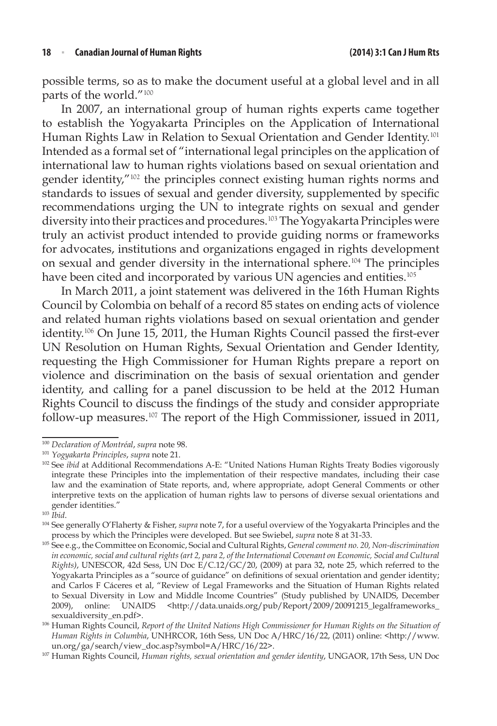possible terms, so as to make the document useful at a global level and in all parts of the world."<sup>100</sup>

In 2007, an international group of human rights experts came together to establish the Yogyakarta Principles on the Application of International Human Rights Law in Relation to Sexual Orientation and Gender Identity.<sup>101</sup> Intended as a formal set of "international legal principles on the application of international law to human rights violations based on sexual orientation and gender identity,"<sup>102</sup> the principles connect existing human rights norms and standards to issues of sexual and gender diversity, supplemented by specific recommendations urging the UN to integrate rights on sexual and gender diversity into their practices and procedures.<sup>103</sup> The Yogyakarta Principles were truly an activist product intended to provide guiding norms or frameworks for advocates, institutions and organizations engaged in rights development on sexual and gender diversity in the international sphere.<sup>104</sup> The principles have been cited and incorporated by various UN agencies and entities.<sup>105</sup>

In March 2011, a joint statement was delivered in the 16th Human Rights Council by Colombia on behalf of a record 85 states on ending acts of violence and related human rights violations based on sexual orientation and gender identity.<sup>106</sup> On June 15, 2011, the Human Rights Council passed the first-ever UN Resolution on Human Rights, Sexual Orientation and Gender Identity, requesting the High Commissioner for Human Rights prepare a report on violence and discrimination on the basis of sexual orientation and gender identity, and calling for a panel discussion to be held at the 2012 Human Rights Council to discuss the findings of the study and consider appropriate follow-up measures.<sup>107</sup> The report of the High Commissioner, issued in 2011,

<sup>100</sup> *Declaration of Montréal*, *supra* note 98.

<sup>101</sup> *Yogyakarta Principles*, *supra* note 21.

<sup>&</sup>lt;sup>102</sup> See *ibid* at Additional Recommendations A-E: "United Nations Human Rights Treaty Bodies vigorously integrate these Principles into the implementation of their respective mandates, including their case law and the examination of State reports, and, where appropriate, adopt General Comments or other interpretive texts on the application of human rights law to persons of diverse sexual orientations and gender identities."

<sup>103</sup> *Ibid*.

<sup>104</sup> See generally O'Flaherty & Fisher, *supra* note 7, for a useful overview of the Yogyakarta Principles and the process by which the Principles were developed. But see Swiebel, *supra* note 8 at 31-33.

<sup>105</sup> See e.g., the Committee on Economic, Social and Cultural Rights, *General comment no. 20, Non-discrimination in economic, social and cultural rights (art 2, para 2, of the International Covenant on Economic, Social and Cultural Rights)*, UNESCOR, 42d Sess, UN Doc E/C.12/GC/20, (2009) at para 32, note 25, which referred to the Yogyakarta Principles as a "source of guidance" on definitions of sexual orientation and gender identity; and Carlos F Cáceres et al, "Review of Legal Frameworks and the Situation of Human Rights related to Sexual Diversity in Low and Middle Income Countries" (Study published by UNAIDS, December 2009), online: UNAIDS <http://data.unaids.org/pub/Report/2009/20091215\_legalframeworks\_ sexualdiversity\_en.pdf>.

<sup>&</sup>lt;sup>106</sup> Human Rights Council, *Report of the United Nations High Commissioner for Human Rights on the Situation of Human Rights in Columbia*, UNHRCOR, 16th Sess, UN Doc A/HRC/16/22, (2011) online: <http://www. un.org/ga/search/view\_doc.asp?symbol=A/HRC/16/22>.

<sup>107</sup> Human Rights Council, *Human rights, sexual orientation and gender identity*, UNGAOR, 17th Sess, UN Doc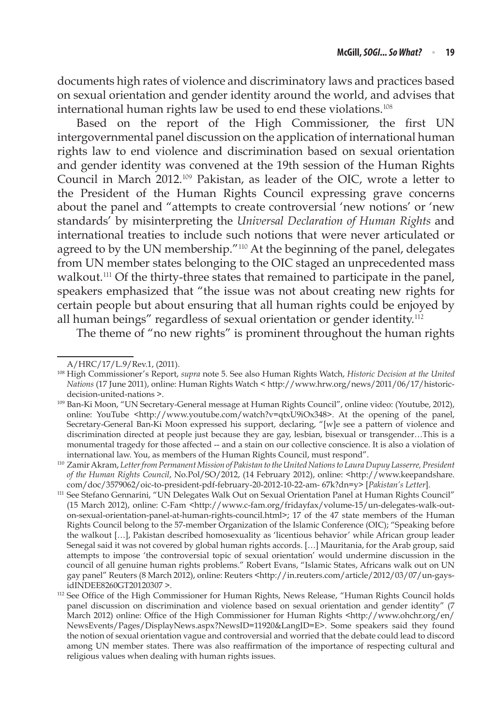documents high rates of violence and discriminatory laws and practices based on sexual orientation and gender identity around the world, and advises that international human rights law be used to end these violations.<sup>108</sup>

Based on the report of the High Commissioner, the first UN intergovernmental panel discussion on the application of international human rights law to end violence and discrimination based on sexual orientation and gender identity was convened at the 19th session of the Human Rights Council in March 2012.<sup>109</sup> Pakistan, as leader of the OIC, wrote a letter to the President of the Human Rights Council expressing grave concerns about the panel and "attempts to create controversial 'new notions' or 'new standards' by misinterpreting the *Universal Declaration of Human Rights* and international treaties to include such notions that were never articulated or agreed to by the UN membership."<sup>110</sup> At the beginning of the panel, delegates from UN member states belonging to the OIC staged an unprecedented mass walkout.<sup>111</sup> Of the thirty-three states that remained to participate in the panel, speakers emphasized that "the issue was not about creating new rights for certain people but about ensuring that all human rights could be enjoyed by all human beings" regardless of sexual orientation or gender identity.<sup>112</sup>

The theme of "no new rights" is prominent throughout the human rights

A/HRC/17/L.9/Rev.1, (2011).

<sup>108</sup> High Commissioner's Report, *supra* note 5. See also Human Rights Watch, *Historic Decision at the United Nations* (17 June 2011), online: Human Rights Watch < http://www.hrw.org/news/2011/06/17/historic-

decision-united-nations >. 109 Ban-Ki Moon, "UN Secretary-General message at Human Rights Council", online video: (Youtube, 2012), online: YouTube <http://www.youtube.com/watch?v=qtxU9iOx348>. At the opening of the panel, Secretary-General Ban-Ki Moon expressed his support, declaring, "[w]e see a pattern of violence and discrimination directed at people just because they are gay, lesbian, bisexual or transgender…This is a monumental tragedy for those affected -- and a stain on our collective conscience. It is also a violation of international law. You, as members of the Human Rights Council, must respond".

<sup>110</sup> Zamir Akram, *Letter from Permanent Mission of Pakistan to the United Nations to Laura Dupuy Lasserre, President of the Human Rights Council*, No.Pol/SO/2012, (14 February 2012), online: <http://www.keepandshare. com/doc/3579062/oic-to-president-pdf-february-20-2012-10-22-am- 67k?dn=y> [*Pakistan's Letter*].

<sup>&</sup>lt;sup>111</sup> See Stefano Gennarini, "UN Delegates Walk Out on Sexual Orientation Panel at Human Rights Council" (15 March 2012), online: C-Fam <http://www.c-fam.org/fridayfax/volume-15/un-delegates-walk-outon-sexual-orientation-panel-at-human-rights-council.html>; 17 of the 47 state members of the Human Rights Council belong to the 57-member Organization of the Islamic Conference (OIC); "Speaking before the walkout […], Pakistan described homosexuality as 'licentious behavior' while African group leader Senegal said it was not covered by global human rights accords. […] Mauritania, for the Arab group, said attempts to impose 'the controversial topic of sexual orientation' would undermine discussion in the council of all genuine human rights problems." Robert Evans, "Islamic States, Africans walk out on UN gay panel" Reuters (8 March 2012), online: Reuters <http://in.reuters.com/article/2012/03/07/un-gaysidINDEE8260GT20120307 >.<br><sup>112</sup> See Office of the High Commissioner for Human Rights, News Release, "Human Rights Council holds

panel discussion on discrimination and violence based on sexual orientation and gender identity" (7 March 2012) online: Office of the High Commissioner for Human Rights <http://www.ohchr.org/en/ NewsEvents/Pages/DisplayNews.aspx?NewsID=11920&LangID=E>. Some speakers said they found the notion of sexual orientation vague and controversial and worried that the debate could lead to discord among UN member states. There was also reaffirmation of the importance of respecting cultural and religious values when dealing with human rights issues.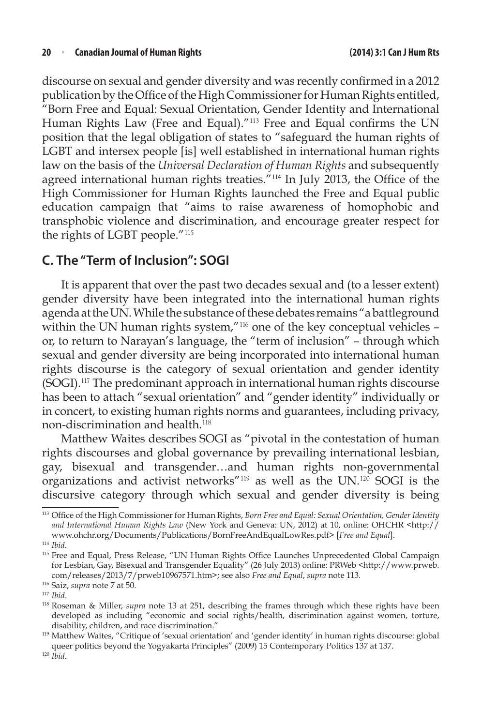discourse on sexual and gender diversity and was recently confirmed in a 2012 publication by the Office of the High Commissioner for Human Rights entitled, "Born Free and Equal: Sexual Orientation, Gender Identity and International Human Rights Law (Free and Equal)."<sup>113</sup> Free and Equal confirms the UN position that the legal obligation of states to "safeguard the human rights of LGBT and intersex people [is] well established in international human rights law on the basis of the *Universal Declaration of Human Rights* and subsequently agreed international human rights treaties.<sup> $n_{114}$ </sup> In July 2013, the Office of the High Commissioner for Human Rights launched the Free and Equal public education campaign that "aims to raise awareness of homophobic and transphobic violence and discrimination, and encourage greater respect for the rights of LGBT people."<sup>115</sup>

### **C. The "Term of Inclusion": SOGI**

It is apparent that over the past two decades sexual and (to a lesser extent) gender diversity have been integrated into the international human rights agenda at the UN. While the substance of these debates remains "a battleground within the UN human rights system,"<sup>116</sup> one of the key conceptual vehicles or, to return to Narayan's language, the "term of inclusion" – through which sexual and gender diversity are being incorporated into international human rights discourse is the category of sexual orientation and gender identity (SOGI).<sup>117</sup> The predominant approach in international human rights discourse has been to attach "sexual orientation" and "gender identity" individually or in concert, to existing human rights norms and guarantees, including privacy, non-discrimination and health.<sup>118</sup>

Matthew Waites describes SOGI as "pivotal in the contestation of human rights discourses and global governance by prevailing international lesbian, gay, bisexual and transgender…and human rights non-governmental organizations and activist networks"<sup>119</sup> as well as the UN.<sup>120</sup> SOGI is the discursive category through which sexual and gender diversity is being

<sup>116</sup> Saiz, *supra* note 7 at 50.

<sup>113</sup> Office of the High Commissioner for Human Rights, *Born Free and Equal: Sexual Orientation, Gender Identity and International Human Rights Law* (New York and Geneva: UN, 2012) at 10, online: OHCHR <http:// www.ohchr.org/Documents/Publications/BornFreeAndEqualLowRes.pdf> [*Free and Equal*].

<sup>114</sup> *Ibid*.

<sup>&</sup>lt;sup>115</sup> Free and Equal, Press Release, "UN Human Rights Office Launches Unprecedented Global Campaign for Lesbian, Gay, Bisexual and Transgender Equality" (26 July 2013) online: PRWeb <http://www.prweb. com/releases/2013/7/prweb10967571.htm>; see also *Free and Equal*, *supra* note 113.

<sup>&</sup>lt;sup>117</sup> *Ibid.*<br><sup>118</sup> Roseman & Miller, *supra* note 13 at 251, describing the frames through which these rights have been developed as including "economic and social rights/health, discrimination against women, torture, disability, children, and race discrimination."

<sup>119</sup> Matthew Waites, "Critique of 'sexual orientation' and 'gender identity' in human rights discourse: global queer politics beyond the Yogyakarta Principles" (2009) 15 Contemporary Politics 137 at 137.

<sup>120</sup> *Ibid*.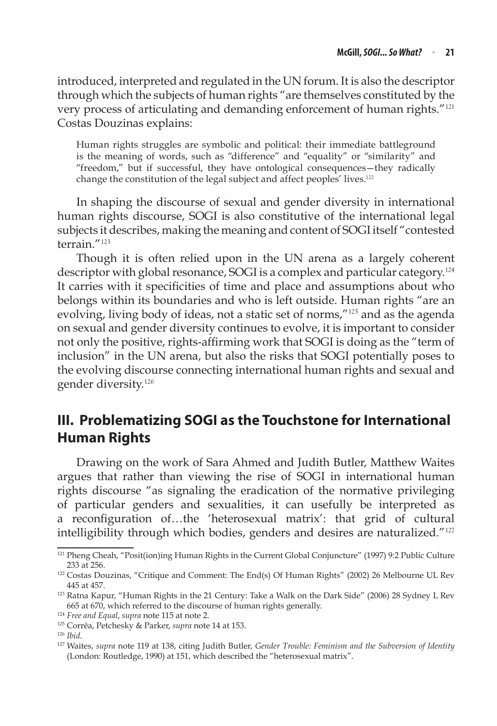introduced, interpreted and regulated in the UN forum. It is also the descriptor through which the subjects of human rights "are themselves constituted by the very process of articulating and demanding enforcement of human rights."<sup>121</sup> Costas Douzinas explains:

Human rights struggles are symbolic and political: their immediate battleground is the meaning of words, such as "difference" and "equality" or "similarity" and "freedom," but if successful, they have ontological consequences—they radically change the constitution of the legal subject and affect peoples' lives.<sup>122</sup>

In shaping the discourse of sexual and gender diversity in international human rights discourse, SOGI is also constitutive of the international legal subjects it describes, making the meaning and content of SOGI itself "contested terrain."<sup>123</sup>

Though it is often relied upon in the UN arena as a largely coherent descriptor with global resonance, SOGI is a complex and particular category.<sup>124</sup> It carries with it specificities of time and place and assumptions about who belongs within its boundaries and who is left outside. Human rights "are an evolving, living body of ideas, not a static set of norms,"<sup>125</sup> and as the agenda on sexual and gender diversity continues to evolve, it is important to consider not only the positive, rights-affirming work that SOGI is doing as the "term of inclusion" in the UN arena, but also the risks that SOGI potentially poses to the evolving discourse connecting international human rights and sexual and gender diversity.<sup>126</sup>

# **III. Problematizing SOGI as the Touchstone for International Human Rights**

Drawing on the work of Sara Ahmed and Judith Butler, Matthew Waites argues that rather than viewing the rise of SOGI in international human rights discourse "as signaling the eradication of the normative privileging of particular genders and sexualities, it can usefully be interpreted as a reconfiguration of…the 'heterosexual matrix': that grid of cultural intelligibility through which bodies, genders and desires are naturalized."<sup>127</sup>

<sup>&</sup>lt;sup>121</sup> Pheng Cheah, "Posit(ion)ing Human Rights in the Current Global Conjuncture" (1997) 9:2 Public Culture 233 at 256.

<sup>122</sup> Costas Douzinas, "Critique and Comment: The End(s) Of Human Rights" (2002) 26 Melbourne UL Rev

<sup>445</sup> at 457. 123 Ratna Kapur, "Human Rights in the 21 Century: Take a Walk on the Dark Side" (2006) 28 Sydney L Rev 665 at 670, which referred to the discourse of human rights generally.

<sup>124</sup> *Free and Equal*, *supra* note 115 at note 2.

<sup>125</sup> Corrêa, Petchesky & Parker, *supra* note 14 at 153.

<sup>126</sup> *Ibid*.

<sup>127</sup> Waites, *supra* note 119 at 138, citing Judith Butler, *Gender Trouble: Feminism and the Subversion of Identity* (London: Routledge, 1990) at 151, which described the "heterosexual matrix".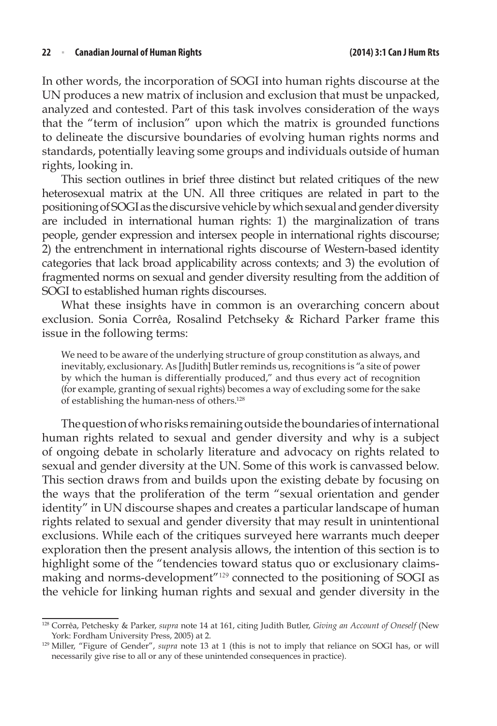#### **22** <sup>n</sup> **Canadian Journal of Human Rights (2014) 3:1 Can J Hum Rts**

In other words, the incorporation of SOGI into human rights discourse at the UN produces a new matrix of inclusion and exclusion that must be unpacked, analyzed and contested. Part of this task involves consideration of the ways that the "term of inclusion" upon which the matrix is grounded functions to delineate the discursive boundaries of evolving human rights norms and standards, potentially leaving some groups and individuals outside of human rights, looking in.

This section outlines in brief three distinct but related critiques of the new heterosexual matrix at the UN. All three critiques are related in part to the positioning of SOGI as the discursive vehicle by which sexual and gender diversity are included in international human rights: 1) the marginalization of trans people, gender expression and intersex people in international rights discourse; 2) the entrenchment in international rights discourse of Western-based identity categories that lack broad applicability across contexts; and 3) the evolution of fragmented norms on sexual and gender diversity resulting from the addition of SOGI to established human rights discourses.

What these insights have in common is an overarching concern about exclusion. Sonia Corrêa, Rosalind Petchseky & Richard Parker frame this issue in the following terms:

We need to be aware of the underlying structure of group constitution as always, and inevitably, exclusionary. As [Judith] Butler reminds us, recognitions is "a site of power by which the human is differentially produced," and thus every act of recognition (for example, granting of sexual rights) becomes a way of excluding some for the sake of establishing the human-ness of others.128

The question of who risks remaining outside the boundaries of international human rights related to sexual and gender diversity and why is a subject of ongoing debate in scholarly literature and advocacy on rights related to sexual and gender diversity at the UN. Some of this work is canvassed below. This section draws from and builds upon the existing debate by focusing on the ways that the proliferation of the term "sexual orientation and gender identity" in UN discourse shapes and creates a particular landscape of human rights related to sexual and gender diversity that may result in unintentional exclusions. While each of the critiques surveyed here warrants much deeper exploration then the present analysis allows, the intention of this section is to highlight some of the "tendencies toward status quo or exclusionary claimsmaking and norms-development"<sup>129</sup> connected to the positioning of SOGI as the vehicle for linking human rights and sexual and gender diversity in the

<sup>128</sup> Corrêa, Petchesky & Parker, *supra* note 14 at 161, citing Judith Butler, *Giving an Account of Oneself* (New York: Fordham University Press, 2005) at 2.

<sup>129</sup> Miller, "Figure of Gender", *supra* note 13 at 1 (this is not to imply that reliance on SOGI has, or will necessarily give rise to all or any of these unintended consequences in practice).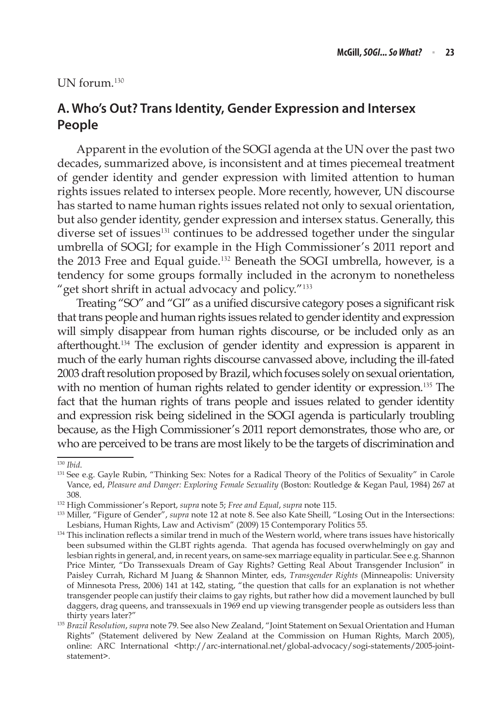#### UN forum.<sup>130</sup>

## **A. Who's Out? Trans Identity, Gender Expression and Intersex People**

Apparent in the evolution of the SOGI agenda at the UN over the past two decades, summarized above, is inconsistent and at times piecemeal treatment of gender identity and gender expression with limited attention to human rights issues related to intersex people. More recently, however, UN discourse has started to name human rights issues related not only to sexual orientation, but also gender identity, gender expression and intersex status. Generally, this diverse set of issues<sup>131</sup> continues to be addressed together under the singular umbrella of SOGI; for example in the High Commissioner's 2011 report and the 2013 Free and Equal guide.<sup>132</sup> Beneath the SOGI umbrella, however, is a tendency for some groups formally included in the acronym to nonetheless "get short shrift in actual advocacy and policy."<sup>133</sup>

Treating "SO" and "GI" as a unified discursive category poses a significant risk that trans people and human rights issues related to gender identity and expression will simply disappear from human rights discourse, or be included only as an afterthought.<sup>134</sup> The exclusion of gender identity and expression is apparent in much of the early human rights discourse canvassed above, including the ill-fated 2003 draft resolution proposed by Brazil, which focuses solely on sexual orientation, with no mention of human rights related to gender identity or expression.<sup>135</sup> The fact that the human rights of trans people and issues related to gender identity and expression risk being sidelined in the SOGI agenda is particularly troubling because, as the High Commissioner's 2011 report demonstrates, those who are, or who are perceived to be trans are most likely to be the targets of discrimination and

<sup>130</sup> *Ibid*.

<sup>&</sup>lt;sup>131</sup> See e.g. Gayle Rubin, "Thinking Sex: Notes for a Radical Theory of the Politics of Sexuality" in Carole Vance, ed, *Pleasure and Danger: Exploring Female Sexuality* (Boston: Routledge & Kegan Paul, 1984) 267 at

<sup>308. 132</sup> High Commissioner's Report, *supra* note 5; *Free and Equal*, *supra* note 115.

<sup>133</sup> Miller, "Figure of Gender", *supra* note 12 at note 8. See also Kate Sheill, "Losing Out in the Intersections: Lesbians, Human Rights, Law and Activism" (2009) 15 Contemporary Politics 55. 134 This inclination reflects a similar trend in much of the Western world, where trans issues have historically

been subsumed within the GLBT rights agenda. That agenda has focused overwhelmingly on gay and lesbian rights in general, and, in recent years, on same-sex marriage equality in particular. See e.g. Shannon Price Minter, "Do Transsexuals Dream of Gay Rights? Getting Real About Transgender Inclusion" in Paisley Currah, Richard M Juang & Shannon Minter, eds, *Transgender Rights* (Minneapolis: University of Minnesota Press, 2006) 141 at 142, stating, "the question that calls for an explanation is not whether transgender people can justify their claims to gay rights, but rather how did a movement launched by bull daggers, drag queens, and transsexuals in 1969 end up viewing transgender people as outsiders less than thirty years later?"

<sup>135</sup> *Brazil Resolution*, *supra* note 79. See also New Zealand, "Joint Statement on Sexual Orientation and Human Rights" (Statement delivered by New Zealand at the Commission on Human Rights, March 2005), online: ARC International <http://arc-international.net/global-advocacy/sogi-statements/2005-jointstatement>.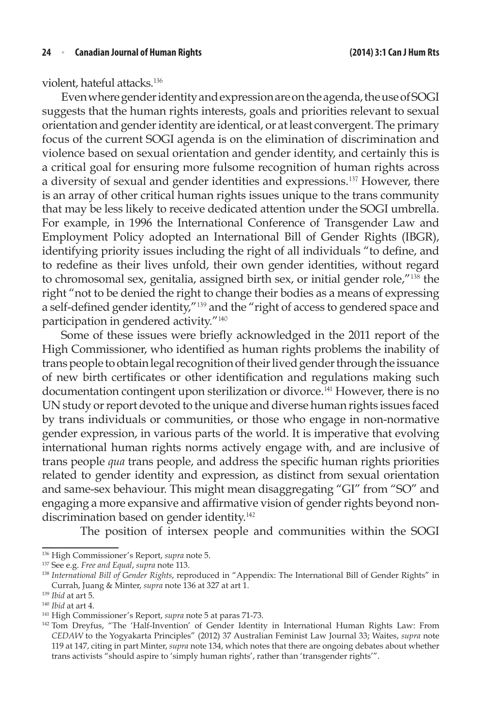violent, hateful attacks.<sup>136</sup>

Even where gender identity and expression are on the agenda, the use of SOGI suggests that the human rights interests, goals and priorities relevant to sexual orientation and gender identity are identical, or at least convergent. The primary focus of the current SOGI agenda is on the elimination of discrimination and violence based on sexual orientation and gender identity, and certainly this is a critical goal for ensuring more fulsome recognition of human rights across a diversity of sexual and gender identities and expressions.<sup>137</sup> However, there is an array of other critical human rights issues unique to the trans community that may be less likely to receive dedicated attention under the SOGI umbrella. For example, in 1996 the International Conference of Transgender Law and Employment Policy adopted an International Bill of Gender Rights (IBGR), identifying priority issues including the right of all individuals "to define, and to redefine as their lives unfold, their own gender identities, without regard to chromosomal sex, genitalia, assigned birth sex, or initial gender role,"<sup>138</sup> the right "not to be denied the right to change their bodies as a means of expressing a self-defined gender identity,"<sup>139</sup> and the "right of access to gendered space and participation in gendered activity."<sup>140</sup>

Some of these issues were briefly acknowledged in the 2011 report of the High Commissioner, who identified as human rights problems the inability of trans people to obtain legal recognition of their lived gender through the issuance of new birth certificates or other identification and regulations making such documentation contingent upon sterilization or divorce.<sup>141</sup> However, there is no UN study or report devoted to the unique and diverse human rights issues faced by trans individuals or communities, or those who engage in non-normative gender expression, in various parts of the world. It is imperative that evolving international human rights norms actively engage with, and are inclusive of trans people *qua* trans people, and address the specific human rights priorities related to gender identity and expression, as distinct from sexual orientation and same-sex behaviour. This might mean disaggregating "GI" from "SO" and engaging a more expansive and affirmative vision of gender rights beyond nondiscrimination based on gender identity.<sup>142</sup>

The position of intersex people and communities within the SOGI

<sup>136</sup> High Commissioner's Report, *supra* note 5.

<sup>137</sup> See e.g. *Free and Equal*, *supra* note 113.

<sup>138</sup> *International Bill of Gender Rights*, reproduced in "Appendix: The International Bill of Gender Rights" in Currah, Juang & Minter, *supra* note 136 at 327 at art 1.

<sup>139</sup> *Ibid* at art 5.

<sup>140</sup> *Ibid* at art 4.

<sup>141</sup> High Commissioner's Report, *supra* note 5 at paras 71-73.

<sup>142</sup> Tom Dreyfus, "The 'Half-Invention' of Gender Identity in International Human Rights Law: From *CEDAW* to the Yogyakarta Principles" (2012) 37 Australian Feminist Law Journal 33; Waites, *supra* note 119 at 147, citing in part Minter, *supra* note 134, which notes that there are ongoing debates about whether trans activists "should aspire to 'simply human rights', rather than 'transgender rights'".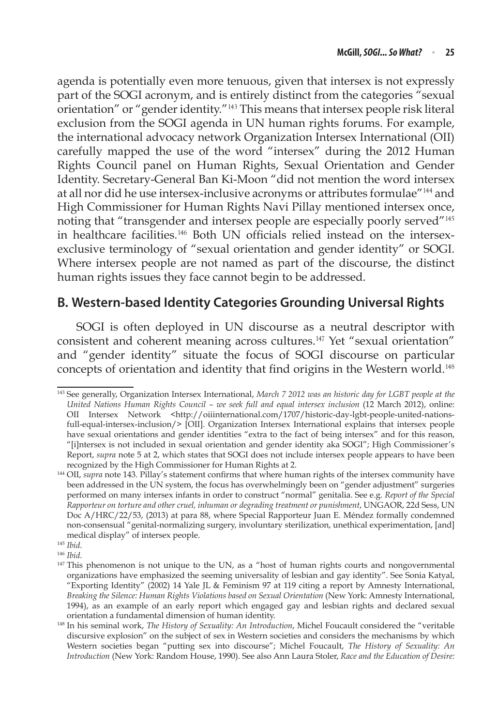agenda is potentially even more tenuous, given that intersex is not expressly part of the SOGI acronym, and is entirely distinct from the categories "sexual orientation" or "gender identity."<sup>143</sup> This means that intersex people risk literal exclusion from the SOGI agenda in UN human rights forums. For example, the international advocacy network Organization Intersex International (OII) carefully mapped the use of the word "intersex" during the 2012 Human Rights Council panel on Human Rights, Sexual Orientation and Gender Identity. Secretary-General Ban Ki-Moon "did not mention the word intersex at all nor did he use intersex-inclusive acronyms or attributes formulae"<sup>144</sup> and High Commissioner for Human Rights Navi Pillay mentioned intersex once, noting that "transgender and intersex people are especially poorly served"<sup>145</sup> in healthcare facilities.146 Both UN officials relied instead on the intersexexclusive terminology of "sexual orientation and gender identity" or SOGI. Where intersex people are not named as part of the discourse, the distinct human rights issues they face cannot begin to be addressed.

### **B. Western-based Identity Categories Grounding Universal Rights**

SOGI is often deployed in UN discourse as a neutral descriptor with consistent and coherent meaning across cultures.<sup>147</sup> Yet "sexual orientation" and "gender identity" situate the focus of SOGI discourse on particular concepts of orientation and identity that find origins in the Western world.<sup>148</sup>

<sup>143</sup> See generally, Organization Intersex International, *March 7 2012 was an historic day for LGBT people at the United Nations Human Rights Council – we seek full and equal intersex inclusion* (12 March 2012), online: OII Intersex Network <http://oiiinternational.com/1707/historic-day-lgbt-people-united-nationsfull-equal-intersex-inclusion/> [OII]. Organization Intersex International explains that intersex people have sexual orientations and gender identities "extra to the fact of being intersex" and for this reason, "[i]ntersex is not included in sexual orientation and gender identity aka SOGI"; High Commissioner's Report, *supra* note 5 at 2, which states that SOGI does not include intersex people appears to have been recognized by the High Commissioner for Human Rights at 2.

<sup>&</sup>lt;sup>144</sup> OII, *supra* note 143. Pillay's statement confirms that where human rights of the intersex community have been addressed in the UN system, the focus has overwhelmingly been on "gender adjustment" surgeries performed on many intersex infants in order to construct "normal" genitalia. See e.g. *Report of the Special Rapporteur on torture and other cruel, inhuman or degrading treatment or punishment*, UNGAOR, 22d Sess, UN Doc A/HRC/22/53, (2013) at para 88, where Special Rapporteur Juan E. Méndez formally condemned non-consensual "genital-normalizing surgery, involuntary sterilization, unethical experimentation, [and] medical display" of intersex people.

<sup>145</sup> *Ibid*.

<sup>146</sup> *Ibid*.

<sup>&</sup>lt;sup>147</sup> This phenomenon is not unique to the UN, as a "host of human rights courts and nongovernmental organizations have emphasized the seeming universality of lesbian and gay identity". See Sonia Katyal, "Exporting Identity" (2002) 14 Yale JL & Feminism 97 at 119 citing a report by Amnesty International, *Breaking the Silence: Human Rights Violations based on Sexual Orientation* (New York: Amnesty International, 1994), as an example of an early report which engaged gay and lesbian rights and declared sexual orientation a fundamental dimension of human identity.

<sup>148</sup> In his seminal work, *The History of Sexuality: An Introduction*, Michel Foucault considered the "veritable discursive explosion" on the subject of sex in Western societies and considers the mechanisms by which Western societies began "putting sex into discourse"; Michel Foucault, *The History of Sexuality: An Introduction* (New York: Random House, 1990). See also Ann Laura Stoler, *Race and the Education of Desire:*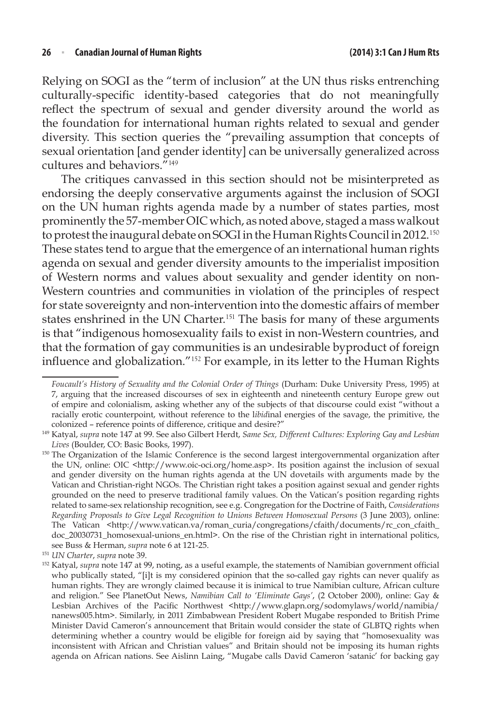Relying on SOGI as the "term of inclusion" at the UN thus risks entrenching culturally-specific identity-based categories that do not meaningfully reflect the spectrum of sexual and gender diversity around the world as the foundation for international human rights related to sexual and gender diversity. This section queries the "prevailing assumption that concepts of sexual orientation [and gender identity] can be universally generalized across cultures and behaviors."<sup>149</sup>

The critiques canvassed in this section should not be misinterpreted as endorsing the deeply conservative arguments against the inclusion of SOGI on the UN human rights agenda made by a number of states parties, most prominently the 57-member OIC which, as noted above, staged a mass walkout to protest the inaugural debate on SOGI in the Human Rights Council in 2012.<sup>150</sup> These states tend to argue that the emergence of an international human rights agenda on sexual and gender diversity amounts to the imperialist imposition of Western norms and values about sexuality and gender identity on non-Western countries and communities in violation of the principles of respect for state sovereignty and non-intervention into the domestic affairs of member states enshrined in the UN Charter.<sup>151</sup> The basis for many of these arguments is that "indigenous homosexuality fails to exist in non-Western countries, and that the formation of gay communities is an undesirable byproduct of foreign influence and globalization."<sup>152</sup> For example, in its letter to the Human Rights

*Foucault's History of Sexuality and the Colonial Order of Things* (Durham: Duke University Press, 1995) at 7, arguing that the increased discourses of sex in eighteenth and nineteenth century Europe grew out of empire and colonialism, asking whether any of the subjects of that discourse could exist "without a racially erotic counterpoint, without reference to the l*ibid*inal energies of the savage, the primitive, the colonized – reference points of difference, critique and desire?" 149 Katyal, *supra* note 147 at 99. See also Gilbert Herdt, *Same Sex, Different Cultures: Exploring Gay and Lesbian* 

*Lives* (Boulder, CO: Basic Books, 1997).<br><sup>150</sup> The Organization of the Islamic Conference is the second largest intergovernmental organization after the UN, online: OIC <http://www.oic-oci.org/home.asp>. Its position against the inclusion of sexual and gender diversity on the human rights agenda at the UN dovetails with arguments made by the Vatican and Christian-right NGOs. The Christian right takes a position against sexual and gender rights grounded on the need to preserve traditional family values. On the Vatican's position regarding rights related to same-sex relationship recognition, see e.g. Congregation for the Doctrine of Faith, *Considerations Regarding Proposals to Give Legal Recognition to Unions Between Homosexual Persons* (3 June 2003), online: The Vatican <http://www.vatican.va/roman\_curia/congregations/cfaith/documents/rc\_con\_cfaith\_ doc\_20030731\_homosexual-unions\_en.html>. On the rise of the Christian right in international politics, see Buss & Herman, *supra* note 6 at 121-25.

<sup>&</sup>lt;sup>151</sup> *UN Charter, supra* note 39.<br><sup>152</sup> Katyal, *supra* note 147 at 99, noting, as a useful example, the statements of Namibian government official who publically stated, "[i]t is my considered opinion that the so-called gay rights can never qualify as human rights. They are wrongly claimed because it is inimical to true Namibian culture, African culture and religion." See PlanetOut News, *Namibian Call to 'Eliminate Gays'*, (2 October 2000), online: Gay & Lesbian Archives of the Pacific Northwest <http://www.glapn.org/sodomylaws/world/namibia/ nanews005.htm>. Similarly, in 2011 Zimbabwean President Robert Mugabe responded to British Prime Minister David Cameron's announcement that Britain would consider the state of GLBTQ rights when determining whether a country would be eligible for foreign aid by saying that "homosexuality was inconsistent with African and Christian values" and Britain should not be imposing its human rights agenda on African nations. See Aislinn Laing, "Mugabe calls David Cameron 'satanic' for backing gay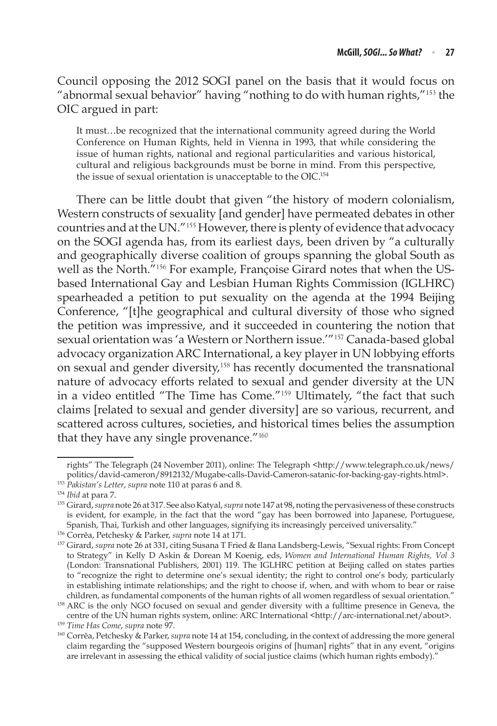Council opposing the 2012 SOGI panel on the basis that it would focus on "abnormal sexual behavior" having "nothing to do with human rights,"<sup>153</sup> the OIC argued in part:

It must…be recognized that the international community agreed during the World Conference on Human Rights, held in Vienna in 1993, that while considering the issue of human rights, national and regional particularities and various historical, cultural and religious backgrounds must be borne in mind. From this perspective, the issue of sexual orientation is unacceptable to the OIC.154

There can be little doubt that given "the history of modern colonialism, Western constructs of sexuality [and gender] have permeated debates in other countries and at the UN."<sup>155</sup> However, there is plenty of evidence that advocacy on the SOGI agenda has, from its earliest days, been driven by "a culturally and geographically diverse coalition of groups spanning the global South as well as the North."156 For example, Françoise Girard notes that when the USbased International Gay and Lesbian Human Rights Commission (IGLHRC) spearheaded a petition to put sexuality on the agenda at the 1994 Beijing Conference, "[t]he geographical and cultural diversity of those who signed the petition was impressive, and it succeeded in countering the notion that sexual orientation was 'a Western or Northern issue.'"<sup>157</sup> Canada-based global advocacy organization ARC International, a key player in UN lobbying efforts on sexual and gender diversity,<sup>158</sup> has recently documented the transnational nature of advocacy efforts related to sexual and gender diversity at the UN in a video entitled "The Time has Come."<sup>159</sup> Ultimately, "the fact that such claims [related to sexual and gender diversity] are so various, recurrent, and scattered across cultures, societies, and historical times belies the assumption that they have any single provenance."<sup>160</sup>

rights" The Telegraph (24 November 2011), online: The Telegraph <http://www.telegraph.co.uk/news/ politics/david-cameron/8912132/Mugabe-calls-David-Cameron-satanic-for-backing-gay-rights.html>. 153 *Pakistan's Letter*, *supra* note 110 at paras 6 and 8.

<sup>154</sup> *Ibid* at para 7.

<sup>155</sup> Girard, *supra* note 26 at 317. See also Katyal, *supra* note 147 at 98, noting the pervasiveness of these constructs is evident, for example, in the fact that the word "gay has been borrowed into Japanese, Portuguese, Spanish, Thai, Turkish and other languages, signifying its increasingly perceived universality."

<sup>156</sup> Corrêa, Petchesky & Parker, *supra* note 14 at 171.

<sup>157</sup> Girard, *supra* note 26 at 331, citing Susana T Fried & Ilana Landsberg-Lewis, "Sexual rights: From Concept to Strategy" in Kelly D Askin & Dorean M Koenig, eds, *Women and International Human Rights, Vol 3*  (London: Transnational Publishers, 2001) 119. The IGLHRC petition at Beijing called on states parties to "recognize the right to determine one's sexual identity; the right to control one's body, particularly in establishing intimate relationships; and the right to choose if, when, and with whom to bear or raise children, as fundamental components of the human rights of all women regardless of sexual orientation."

<sup>158</sup> ARC is the only NGO focused on sexual and gender diversity with a fulltime presence in Geneva, the centre of the UN human rights system, online: ARC International <http://arc-international.net/about>.

<sup>159</sup> *Time Has Come*, *supra* note 97.

<sup>160</sup> Corrêa, Petchesky & Parker, *supra* note 14 at 154, concluding, in the context of addressing the more general claim regarding the "supposed Western bourgeois origins of [human] rights" that in any event, "origins are irrelevant in assessing the ethical validity of social justice claims (which human rights embody)."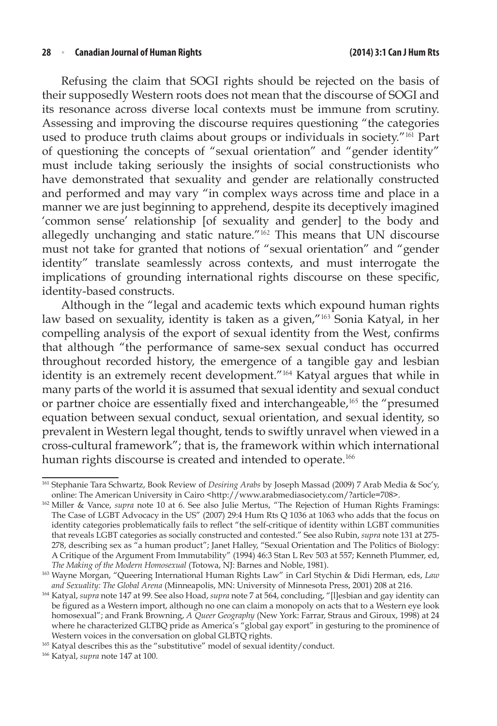#### **28** <sup>n</sup> **Canadian Journal of Human Rights (2014) 3:1 Can J Hum Rts**

Refusing the claim that SOGI rights should be rejected on the basis of their supposedly Western roots does not mean that the discourse of SOGI and its resonance across diverse local contexts must be immune from scrutiny. Assessing and improving the discourse requires questioning "the categories used to produce truth claims about groups or individuals in society."<sup>161</sup> Part of questioning the concepts of "sexual orientation" and "gender identity" must include taking seriously the insights of social constructionists who have demonstrated that sexuality and gender are relationally constructed and performed and may vary "in complex ways across time and place in a manner we are just beginning to apprehend, despite its deceptively imagined 'common sense' relationship [of sexuality and gender] to the body and allegedly unchanging and static nature."<sup>162</sup> This means that UN discourse must not take for granted that notions of "sexual orientation" and "gender identity" translate seamlessly across contexts, and must interrogate the implications of grounding international rights discourse on these specific, identity-based constructs.

Although in the "legal and academic texts which expound human rights law based on sexuality, identity is taken as a given,"<sup>163</sup> Sonia Katyal, in her compelling analysis of the export of sexual identity from the West, confirms that although "the performance of same-sex sexual conduct has occurred throughout recorded history, the emergence of a tangible gay and lesbian identity is an extremely recent development."<sup>164</sup> Katyal argues that while in many parts of the world it is assumed that sexual identity and sexual conduct or partner choice are essentially fixed and interchangeable,<sup>165</sup> the "presumed equation between sexual conduct, sexual orientation, and sexual identity, so prevalent in Western legal thought, tends to swiftly unravel when viewed in a cross-cultural framework"; that is, the framework within which international human rights discourse is created and intended to operate.<sup>166</sup>

<sup>161</sup> Stephanie Tara Schwartz, Book Review of *Desiring Arabs* by Joseph Massad (2009) 7 Arab Media & Soc'y, online: The American University in Cairo <http://www.arabmediasociety.com/?article=708>.

<sup>&</sup>lt;sup>162</sup> Miller & Vance, *supra* note 10 at 6. See also Julie Mertus, "The Rejection of Human Rights Framings: The Case of LGBT Advocacy in the US" (2007) 29:4 Hum Rts Q 1036 at 1063 who adds that the focus on identity categories problematically fails to reflect "the self-critique of identity within LGBT communities that reveals LGBT categories as socially constructed and contested." See also Rubin, *supra* note 131 at 275- 278, describing sex as "a human product"; Janet Halley, "Sexual Orientation and The Politics of Biology: A Critique of the Argument From Immutability" (1994) 46:3 Stan L Rev 503 at 557; Kenneth Plummer, ed, *The Making of the Modern Homosexual* (Totowa, NJ: Barnes and Noble, 1981).

<sup>163</sup> Wayne Morgan, "Queering International Human Rights Law" in Carl Stychin & Didi Herman, eds, *Law and Sexuality: The Global Arena* (Minneapolis, MN: University of Minnesota Press, 2001) 208 at 216.

<sup>164</sup> Katyal, *supra* note 147 at 99. See also Hoad, *supra* note 7 at 564, concluding, "[l]esbian and gay identity can be figured as a Western import, although no one can claim a monopoly on acts that to a Western eye look homosexual"; and Frank Browning, *A Queer Geography* (New York: Farrar, Straus and Giroux, 1998) at 24 where he characterized GLTBQ pride as America's "global gay export" in gesturing to the prominence of Western voices in the conversation on global GLBTQ rights.

<sup>&</sup>lt;sup>165</sup> Katyal describes this as the "substitutive" model of sexual identity/conduct.<br><sup>166</sup> Katyal, *supra* note 147 at 100.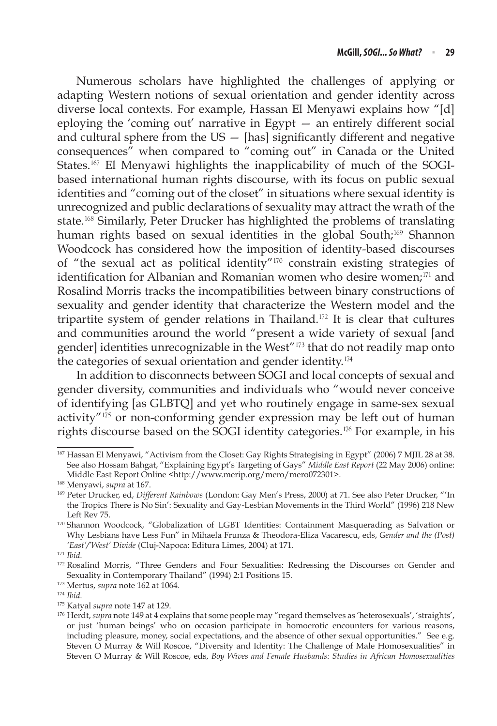Numerous scholars have highlighted the challenges of applying or adapting Western notions of sexual orientation and gender identity across diverse local contexts. For example, Hassan El Menyawi explains how "[d] eploying the 'coming out' narrative in Egypt — an entirely different social and cultural sphere from the  $US -$  [has] significantly different and negative consequences" when compared to "coming out" in Canada or the United States.<sup>167</sup> El Menyawi highlights the inapplicability of much of the SOGIbased international human rights discourse, with its focus on public sexual identities and "coming out of the closet" in situations where sexual identity is unrecognized and public declarations of sexuality may attract the wrath of the state.<sup>168</sup> Similarly, Peter Drucker has highlighted the problems of translating human rights based on sexual identities in the global South;<sup>169</sup> Shannon Woodcock has considered how the imposition of identity-based discourses of "the sexual act as political identity"<sup>170</sup> constrain existing strategies of identification for Albanian and Romanian women who desire women;<sup>171</sup> and Rosalind Morris tracks the incompatibilities between binary constructions of sexuality and gender identity that characterize the Western model and the tripartite system of gender relations in Thailand.<sup>172</sup> It is clear that cultures and communities around the world "present a wide variety of sexual [and gender] identities unrecognizable in the West"<sup>173</sup> that do not readily map onto the categories of sexual orientation and gender identity.<sup>174</sup>

In addition to disconnects between SOGI and local concepts of sexual and gender diversity, communities and individuals who "would never conceive of identifying [as GLBTQ] and yet who routinely engage in same-sex sexual activity"<sup>175</sup> or non-conforming gender expression may be left out of human rights discourse based on the SOGI identity categories.<sup>176</sup> For example, in his

<sup>167</sup> Hassan El Menyawi, "Activism from the Closet: Gay Rights Strategising in Egypt" (2006) 7 MJIL 28 at 38. See also Hossam Bahgat, "Explaining Egypt's Targeting of Gays" *Middle East Report* (22 May 2006) online: Middle East Report Online <http://www.merip.org/mero/mero072301>.

<sup>168</sup> Menyawi, *supra* at 167.

<sup>169</sup> Peter Drucker, ed, *Different Rainbows* (London: Gay Men's Press, 2000) at 71. See also Peter Drucker, "'In the Tropics There is No Sin': Sexuality and Gay-Lesbian Movements in the Third World" (1996) 218 New Left Rev 75.

<sup>170</sup> Shannon Woodcock, "Globalization of LGBT Identities: Containment Masquerading as Salvation or Why Lesbians have Less Fun" in Mihaela Frunza & Theodora-Eliza Vacarescu, eds, *Gender and the (Post) 'East'/'West' Divide* (Cluj-Napoca: Editura Limes, 2004) at 171.

<sup>171</sup> *Ibid*.

<sup>&</sup>lt;sup>172</sup> Rosalind Morris, "Three Genders and Four Sexualities: Redressing the Discourses on Gender and Sexuality in Contemporary Thailand" (1994) 2:1 Positions 15.

<sup>&</sup>lt;sup>173</sup> Mertus*, supra* note 162 at 1064.<br><sup>174</sup> *Ibid.*<br><sup>175</sup> Katyal *supra* note 147 at 129.<br><sup>176</sup> Herdt, *supra* note 149 at 4 explains that some people may "regard themselves as 'heterosexuals', 'straights', or just 'human beings' who on occasion participate in homoerotic encounters for various reasons, including pleasure, money, social expectations, and the absence of other sexual opportunities." See e.g. Steven O Murray & Will Roscoe, "Diversity and Identity: The Challenge of Male Homosexualities" in Steven O Murray & Will Roscoe, eds, *Boy Wives and Female Husbands: Studies in African Homosexualities*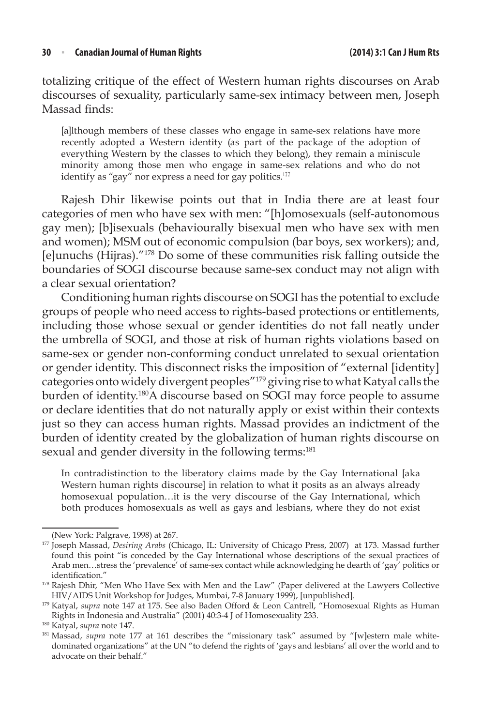totalizing critique of the effect of Western human rights discourses on Arab discourses of sexuality, particularly same-sex intimacy between men, Joseph Massad finds:

[a]lthough members of these classes who engage in same-sex relations have more recently adopted a Western identity (as part of the package of the adoption of everything Western by the classes to which they belong), they remain a miniscule minority among those men who engage in same-sex relations and who do not identify as "gay" nor express a need for gay politics.<sup>177</sup>

Rajesh Dhir likewise points out that in India there are at least four categories of men who have sex with men: "[h]omosexuals (self-autonomous gay men); [b]isexuals (behaviourally bisexual men who have sex with men and women); MSM out of economic compulsion (bar boys, sex workers); and, [e]unuchs (Hijras)."178 Do some of these communities risk falling outside the boundaries of SOGI discourse because same-sex conduct may not align with a clear sexual orientation?

Conditioning human rights discourse on SOGI has the potential to exclude groups of people who need access to rights-based protections or entitlements, including those whose sexual or gender identities do not fall neatly under the umbrella of SOGI, and those at risk of human rights violations based on same-sex or gender non-conforming conduct unrelated to sexual orientation or gender identity. This disconnect risks the imposition of "external [identity] categories onto widely divergent peoples"179 giving rise to what Katyal calls the burden of identity.180A discourse based on SOGI may force people to assume or declare identities that do not naturally apply or exist within their contexts just so they can access human rights. Massad provides an indictment of the burden of identity created by the globalization of human rights discourse on sexual and gender diversity in the following terms:<sup>181</sup>

In contradistinction to the liberatory claims made by the Gay International [aka Western human rights discourse] in relation to what it posits as an always already homosexual population…it is the very discourse of the Gay International, which both produces homosexuals as well as gays and lesbians, where they do not exist

<sup>(</sup>New York: Palgrave, 1998) at 267.

<sup>177</sup> Joseph Massad, *Desiring Arabs* (Chicago, IL: University of Chicago Press, 2007) at 173. Massad further found this point "is conceded by the Gay International whose descriptions of the sexual practices of Arab men…stress the 'prevalence' of same-sex contact while acknowledging he dearth of 'gay' politics or identification."

<sup>&</sup>lt;sup>178</sup> Rajesh Dhir, "Men Who Have Sex with Men and the Law" (Paper delivered at the Lawyers Collective HIV/AIDS Unit Workshop for Judges, Mumbai, 7-8 January 1999), [unpublished].

<sup>179</sup> Katyal, *supra* note 147 at 175. See also Baden Offord & Leon Cantrell, "Homosexual Rights as Human Rights in Indonesia and Australia" (2001) 40:3-4 J of Homosexuality 233.

<sup>180</sup> Katyal, *supra* note 147.

<sup>&</sup>lt;sup>181</sup> Massad, *supra* note 177 at 161 describes the "missionary task" assumed by "[w]estern male whitedominated organizations" at the UN "to defend the rights of 'gays and lesbians' all over the world and to advocate on their behalf."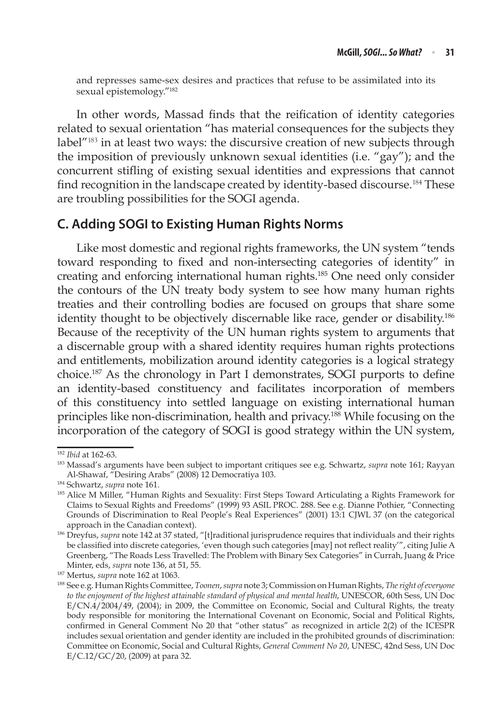and represses same-sex desires and practices that refuse to be assimilated into its sexual epistemology."182

In other words, Massad finds that the reification of identity categories related to sexual orientation "has material consequences for the subjects they label<sup>"183</sup> in at least two ways: the discursive creation of new subjects through the imposition of previously unknown sexual identities (i.e. "gay"); and the concurrent stifling of existing sexual identities and expressions that cannot find recognition in the landscape created by identity-based discourse.<sup>184</sup> These are troubling possibilities for the SOGI agenda.

#### **C. Adding SOGI to Existing Human Rights Norms**

Like most domestic and regional rights frameworks, the UN system "tends toward responding to fixed and non-intersecting categories of identity" in creating and enforcing international human rights.185 One need only consider the contours of the UN treaty body system to see how many human rights treaties and their controlling bodies are focused on groups that share some identity thought to be objectively discernable like race, gender or disability.186 Because of the receptivity of the UN human rights system to arguments that a discernable group with a shared identity requires human rights protections and entitlements, mobilization around identity categories is a logical strategy choice.187 As the chronology in Part I demonstrates, SOGI purports to define an identity-based constituency and facilitates incorporation of members of this constituency into settled language on existing international human principles like non-discrimination, health and privacy.<sup>188</sup> While focusing on the incorporation of the category of SOGI is good strategy within the UN system,

<sup>182</sup> *Ibid* at 162-63.

<sup>183</sup> Massad's arguments have been subject to important critiques see e.g. Schwartz, *supra* note 161; Rayyan Al-Shawaf, "Desiring Arabs" (2008) 12 Democratiya 103.

<sup>184</sup> Schwartz, *supra* note 161.

<sup>185</sup> Alice M Miller, "Human Rights and Sexuality: First Steps Toward Articulating a Rights Framework for Claims to Sexual Rights and Freedoms" (1999) 93 ASIL PROC. 288. See e.g. Dianne Pothier, "Connecting Grounds of Discrimination to Real People's Real Experiences" (2001) 13:1 CJWL 37 (on the categorical approach in the Canadian context).

<sup>186</sup> Dreyfus, *supra* note 142 at 37 stated, "[t]raditional jurisprudence requires that individuals and their rights be classified into discrete categories, 'even though such categories [may] not reflect reality'", citing Julie A Greenberg, "The Roads Less Travelled: The Problem with Binary Sex Categories" in Currah, Juang & Price Minter, eds, *supra* note 136, at 51, 55. 187 Mertus, *supra* note 162 at 1063.

<sup>188</sup> See e.g. Human Rights Committee, *Toonen*, *supra* note 3; Commission on Human Rights, *The right of everyone to the enjoyment of the highest attainable standard of physical and mental health*, UNESCOR, 60th Sess, UN Doc E/CN.4/2004/49, (2004); in 2009, the Committee on Economic, Social and Cultural Rights, the treaty body responsible for monitoring the International Covenant on Economic, Social and Political Rights, confirmed in General Comment No 20 that "other status" as recognized in article 2(2) of the ICESPR includes sexual orientation and gender identity are included in the prohibited grounds of discrimination: Committee on Economic, Social and Cultural Rights, *General Comment No 20*, UNESC, 42nd Sess, UN Doc E/C.12/GC/20, (2009) at para 32.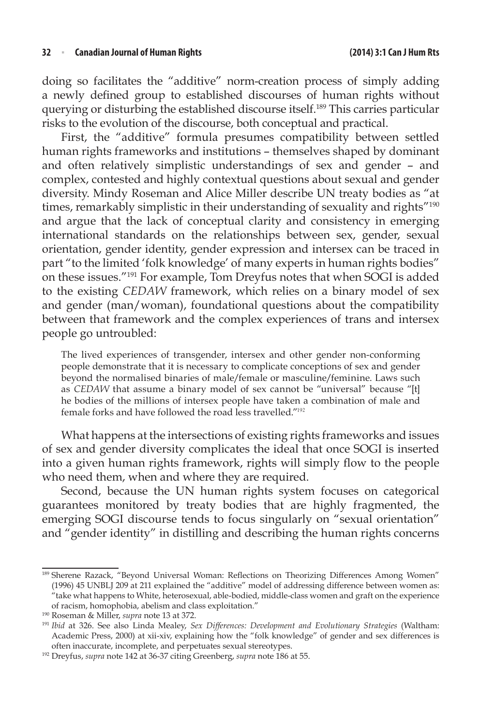doing so facilitates the "additive" norm-creation process of simply adding a newly defined group to established discourses of human rights without querying or disturbing the established discourse itself.189 This carries particular risks to the evolution of the discourse, both conceptual and practical.

First, the "additive" formula presumes compatibility between settled human rights frameworks and institutions – themselves shaped by dominant and often relatively simplistic understandings of sex and gender – and complex, contested and highly contextual questions about sexual and gender diversity. Mindy Roseman and Alice Miller describe UN treaty bodies as "at times, remarkably simplistic in their understanding of sexuality and rights<sup>"190</sup> and argue that the lack of conceptual clarity and consistency in emerging international standards on the relationships between sex, gender, sexual orientation, gender identity, gender expression and intersex can be traced in part "to the limited 'folk knowledge' of many experts in human rights bodies" on these issues."191 For example, Tom Dreyfus notes that when SOGI is added to the existing *CEDAW* framework, which relies on a binary model of sex and gender (man/woman), foundational questions about the compatibility between that framework and the complex experiences of trans and intersex people go untroubled:

The lived experiences of transgender, intersex and other gender non-conforming people demonstrate that it is necessary to complicate conceptions of sex and gender beyond the normalised binaries of male/female or masculine/feminine. Laws such as *CEDAW* that assume a binary model of sex cannot be "universal" because "[t] he bodies of the millions of intersex people have taken a combination of male and female forks and have followed the road less travelled."<sup>192</sup>

What happens at the intersections of existing rights frameworks and issues of sex and gender diversity complicates the ideal that once SOGI is inserted into a given human rights framework, rights will simply flow to the people who need them, when and where they are required.

Second, because the UN human rights system focuses on categorical guarantees monitored by treaty bodies that are highly fragmented, the emerging SOGI discourse tends to focus singularly on "sexual orientation" and "gender identity" in distilling and describing the human rights concerns

<sup>189</sup> Sherene Razack, "Beyond Universal Woman: Reflections on Theorizing Differences Among Women" (1996) 45 UNBLJ 209 at 211 explained the "additive" model of addressing difference between women as: "take what happens to White, heterosexual, able-bodied, middle-class women and graft on the experience of racism, homophobia, abelism and class exploitation."

<sup>190</sup> Roseman & Miller, *supra* note 13 at 372.

<sup>191</sup> *Ibid* at 326. See also Linda Mealey, *Sex Differences: Development and Evolutionary Strategies* (Waltham: Academic Press, 2000) at xii-xiv, explaining how the "folk knowledge" of gender and sex differences is often inaccurate, incomplete, and perpetuates sexual stereotypes. 192 Dreyfus, *supra* note 142 at 36-37 citing Greenberg, *supra* note 186 at 55.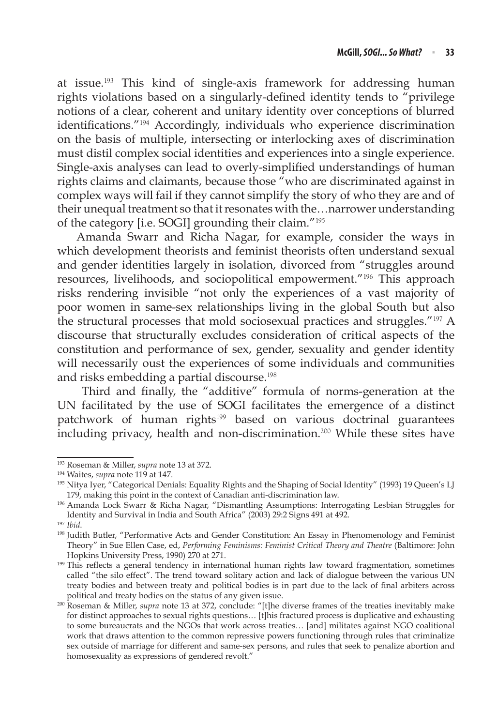at issue.<sup>193</sup> This kind of single-axis framework for addressing human rights violations based on a singularly-defined identity tends to "privilege notions of a clear, coherent and unitary identity over conceptions of blurred identifications."<sup>194</sup> Accordingly, individuals who experience discrimination on the basis of multiple, intersecting or interlocking axes of discrimination must distil complex social identities and experiences into a single experience. Single-axis analyses can lead to overly-simplified understandings of human rights claims and claimants, because those "who are discriminated against in complex ways will fail if they cannot simplify the story of who they are and of their unequal treatment so that it resonates with the…narrower understanding of the category [i.e. SOGI] grounding their claim."<sup>195</sup>

Amanda Swarr and Richa Nagar, for example, consider the ways in which development theorists and feminist theorists often understand sexual and gender identities largely in isolation, divorced from "struggles around resources, livelihoods, and sociopolitical empowerment."<sup>196</sup> This approach risks rendering invisible "not only the experiences of a vast majority of poor women in same-sex relationships living in the global South but also the structural processes that mold sociosexual practices and struggles."<sup>197</sup> A discourse that structurally excludes consideration of critical aspects of the constitution and performance of sex, gender, sexuality and gender identity will necessarily oust the experiences of some individuals and communities and risks embedding a partial discourse.<sup>198</sup>

 Third and finally, the "additive" formula of norms-generation at the UN facilitated by the use of SOGI facilitates the emergence of a distinct patchwork of human rights<sup>199</sup> based on various doctrinal guarantees  $\frac{1}{20}$  including privacy, health and non-discrimination.<sup>200</sup> While these sites have

<sup>193</sup> Roseman & Miller, *supra* note 13 at 372.

<sup>194</sup> Waites, *supra* note 119 at 147.

<sup>&</sup>lt;sup>195</sup> Nitya Iyer, "Categorical Denials: Equality Rights and the Shaping of Social Identity" (1993) 19 Queen's LJ 179, making this point in the context of Canadian anti-discrimination law.

<sup>196</sup> Amanda Lock Swarr & Richa Nagar, "Dismantling Assumptions: Interrogating Lesbian Struggles for Identity and Survival in India and South Africa" (2003) 29:2 Signs 491 at 492.<br><sup>197</sup> *Ibid.* 198 Judith Butler, "Performative Acts and Gender Constitution: An Essay in Phenomenology and Feminist

Theory" in Sue Ellen Case, ed, *Performing Feminisms: Feminist Critical Theory and Theatre* (Baltimore: John

<sup>&</sup>lt;sup>199</sup> This reflects a general tendency in international human rights law toward fragmentation, sometimes called "the silo effect". The trend toward solitary action and lack of dialogue between the various UN treaty bodies and between treaty and political bodies is in part due to the lack of final arbiters across

political and treaty bodies on the status of any given issue. 200 Roseman & Miller, *supra* note 13 at 372, conclude: "[t]he diverse frames of the treaties inevitably make for distinct approaches to sexual rights questions… [t]his fractured process is duplicative and exhausting to some bureaucrats and the NGOs that work across treaties… [and] militates against NGO coalitional work that draws attention to the common repressive powers functioning through rules that criminalize sex outside of marriage for different and same-sex persons, and rules that seek to penalize abortion and homosexuality as expressions of gendered revolt."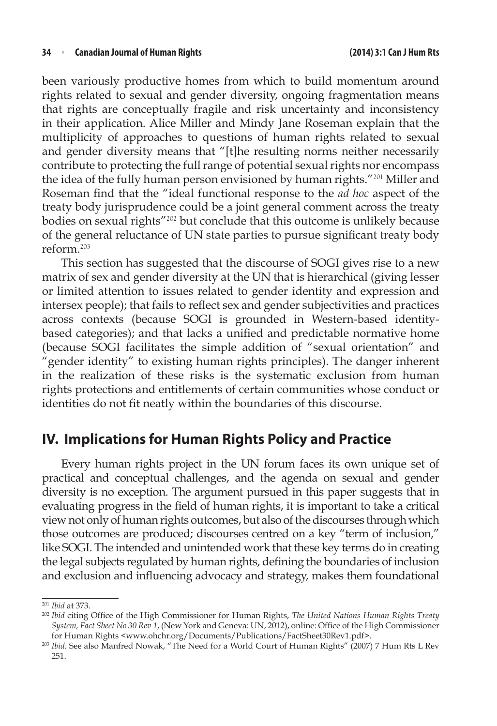been variously productive homes from which to build momentum around rights related to sexual and gender diversity, ongoing fragmentation means that rights are conceptually fragile and risk uncertainty and inconsistency in their application. Alice Miller and Mindy Jane Roseman explain that the multiplicity of approaches to questions of human rights related to sexual and gender diversity means that "[t]he resulting norms neither necessarily contribute to protecting the full range of potential sexual rights nor encompass the idea of the fully human person envisioned by human rights."<sup>201</sup> Miller and Roseman find that the "ideal functional response to the *ad hoc* aspect of the treaty body jurisprudence could be a joint general comment across the treaty bodies on sexual rights"<sup>202</sup> but conclude that this outcome is unlikely because of the general reluctance of UN state parties to pursue significant treaty body reform.<sup>203</sup>

This section has suggested that the discourse of SOGI gives rise to a new matrix of sex and gender diversity at the UN that is hierarchical (giving lesser or limited attention to issues related to gender identity and expression and intersex people); that fails to reflect sex and gender subjectivities and practices across contexts (because SOGI is grounded in Western-based identitybased categories); and that lacks a unified and predictable normative home (because SOGI facilitates the simple addition of "sexual orientation" and "gender identity" to existing human rights principles). The danger inherent in the realization of these risks is the systematic exclusion from human rights protections and entitlements of certain communities whose conduct or identities do not fit neatly within the boundaries of this discourse.

## **IV. Implications for Human Rights Policy and Practice**

Every human rights project in the UN forum faces its own unique set of practical and conceptual challenges, and the agenda on sexual and gender diversity is no exception. The argument pursued in this paper suggests that in evaluating progress in the field of human rights, it is important to take a critical view not only of human rights outcomes, but also of the discourses through which those outcomes are produced; discourses centred on a key "term of inclusion," like SOGI. The intended and unintended work that these key terms do in creating the legal subjects regulated by human rights, defining the boundaries of inclusion and exclusion and influencing advocacy and strategy, makes them foundational

<sup>201</sup> *Ibid* at 373.

<sup>202</sup> *Ibid* citing Office of the High Commissioner for Human Rights, *The United Nations Human Rights Treaty System, Fact Sheet No 30 Rev 1*, (New York and Geneva: UN, 2012), online: Office of the High Commissioner for Human Rights <www.ohchr.org/Documents/Publications/FactSheet30Rev1.pdf>.

<sup>203</sup> *Ibid*. See also Manfred Nowak, "The Need for a World Court of Human Rights" (2007) 7 Hum Rts L Rev 251.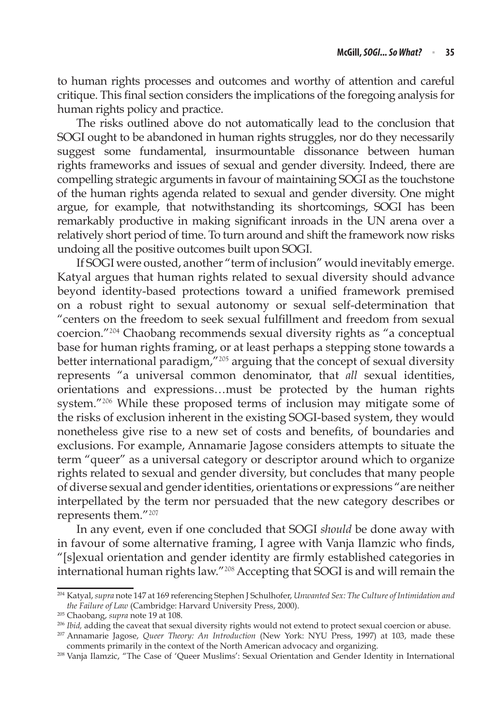to human rights processes and outcomes and worthy of attention and careful critique. This final section considers the implications of the foregoing analysis for human rights policy and practice.

The risks outlined above do not automatically lead to the conclusion that SOGI ought to be abandoned in human rights struggles, nor do they necessarily suggest some fundamental, insurmountable dissonance between human rights frameworks and issues of sexual and gender diversity. Indeed, there are compelling strategic arguments in favour of maintaining SOGI as the touchstone of the human rights agenda related to sexual and gender diversity. One might argue, for example, that notwithstanding its shortcomings, SOGI has been remarkably productive in making significant inroads in the UN arena over a relatively short period of time. To turn around and shift the framework now risks undoing all the positive outcomes built upon SOGI.

If SOGI were ousted, another "term of inclusion" would inevitably emerge. Katyal argues that human rights related to sexual diversity should advance beyond identity-based protections toward a unified framework premised on a robust right to sexual autonomy or sexual self-determination that "centers on the freedom to seek sexual fulfillment and freedom from sexual coercion."<sup>204</sup> Chaobang recommends sexual diversity rights as "a conceptual base for human rights framing, or at least perhaps a stepping stone towards a better international paradigm,"<sup>205</sup> arguing that the concept of sexual diversity represents "a universal common denominator, that *all* sexual identities, orientations and expressions…must be protected by the human rights system."<sup>206</sup> While these proposed terms of inclusion may mitigate some of the risks of exclusion inherent in the existing SOGI-based system, they would nonetheless give rise to a new set of costs and benefits, of boundaries and exclusions. For example, Annamarie Jagose considers attempts to situate the term "queer" as a universal category or descriptor around which to organize rights related to sexual and gender diversity, but concludes that many people of diverse sexual and gender identities, orientations or expressions "are neither interpellated by the term nor persuaded that the new category describes or represents them."<sup>207</sup>

In any event, even if one concluded that SOGI *should* be done away with in favour of some alternative framing, I agree with Vanja Ilamzic who finds, "[s]exual orientation and gender identity are firmly established categories in international human rights law."<sup>208</sup> Accepting that SOGI is and will remain the

<sup>204</sup> Katyal, *supra* note 147 at 169 referencing Stephen J Schulhofer, *Unwanted Sex: The Culture of Intimidation and the Failure of Law* (Cambridge: Harvard University Press, 2000).

<sup>205</sup> Chaobang, *supra* note 19 at 108.

<sup>&</sup>lt;sup>206</sup> *Ibid,* adding the caveat that sexual diversity rights would not extend to protect sexual coercion or abuse.<br><sup>207</sup> Annamarie Jagose, *Queer Theory: An Introduction* (New York: NYU Press, 1997) at 103, made these

comments primarily in the context of the North American advocacy and organizing.

<sup>208</sup> Vanja Ilamzic, "The Case of 'Queer Muslims': Sexual Orientation and Gender Identity in International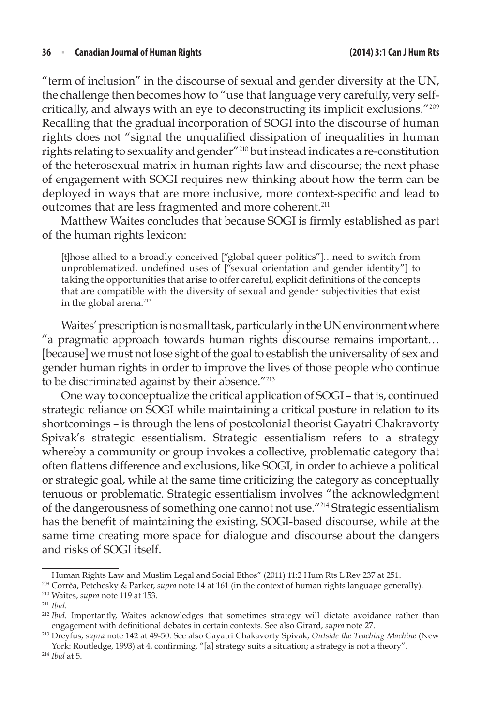"term of inclusion" in the discourse of sexual and gender diversity at the UN, the challenge then becomes how to "use that language very carefully, very selfcritically, and always with an eye to deconstructing its implicit exclusions."<sup>209</sup> Recalling that the gradual incorporation of SOGI into the discourse of human rights does not "signal the unqualified dissipation of inequalities in human rights relating to sexuality and gender"<sup>210</sup> but instead indicates a re-constitution of the heterosexual matrix in human rights law and discourse; the next phase of engagement with SOGI requires new thinking about how the term can be deployed in ways that are more inclusive, more context-specific and lead to outcomes that are less fragmented and more coherent.<sup>211</sup>

Matthew Waites concludes that because SOGI is firmly established as part of the human rights lexicon:

[t]hose allied to a broadly conceived ["global queer politics"]…need to switch from unproblematized, undefined uses of ["sexual orientation and gender identity"] to taking the opportunities that arise to offer careful, explicit definitions of the concepts that are compatible with the diversity of sexual and gender subjectivities that exist in the global arena.<sup>212</sup>

Waites' prescription is no small task, particularly in the UN environment where "a pragmatic approach towards human rights discourse remains important… [because] we must not lose sight of the goal to establish the universality of sex and gender human rights in order to improve the lives of those people who continue to be discriminated against by their absence."<sup>213</sup>

One way to conceptualize the critical application of SOGI – that is, continued strategic reliance on SOGI while maintaining a critical posture in relation to its shortcomings – is through the lens of postcolonial theorist Gayatri Chakravorty Spivak's strategic essentialism. Strategic essentialism refers to a strategy whereby a community or group invokes a collective, problematic category that often flattens difference and exclusions, like SOGI, in order to achieve a political or strategic goal, while at the same time criticizing the category as conceptually tenuous or problematic. Strategic essentialism involves "the acknowledgment of the dangerousness of something one cannot not use."<sup>214</sup> Strategic essentialism has the benefit of maintaining the existing, SOGI-based discourse, while at the same time creating more space for dialogue and discourse about the dangers and risks of SOGI itself.

Human Rights Law and Muslim Legal and Social Ethos" (2011) 11:2 Hum Rts L Rev 237 at 251.

<sup>209</sup> Corrêa, Petchesky & Parker, *supra* note 14 at 161 (in the context of human rights language generally).

<sup>210</sup> Waites, *supra* note 119 at 153.

<sup>211</sup> *Ibid*.

<sup>212</sup> *Ibid.* Importantly, Waites acknowledges that sometimes strategy will dictate avoidance rather than engagement with definitional debates in certain contexts. See also Girard, *supra* note 27. 213 Dreyfus, *supra* note 142 at 49-50. See also Gayatri Chakavorty Spivak, *Outside the Teaching Machine* (New

York: Routledge, 1993) at 4, confirming, "[a] strategy suits a situation; a strategy is not a theory".

<sup>214</sup> *Ibid* at 5.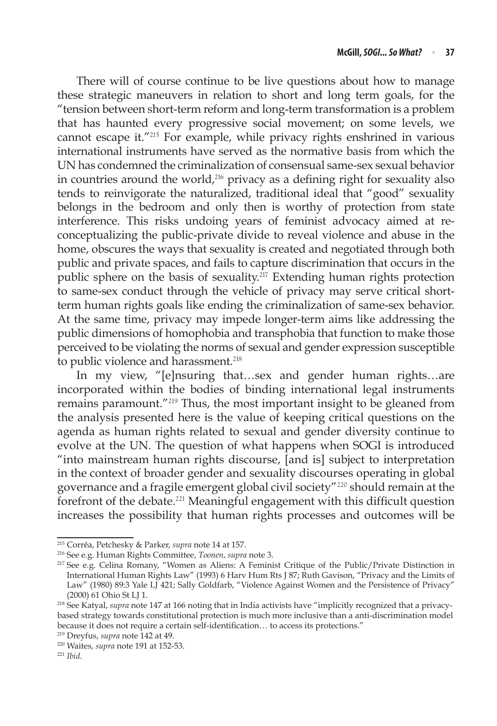There will of course continue to be live questions about how to manage these strategic maneuvers in relation to short and long term goals, for the "tension between short-term reform and long-term transformation is a problem that has haunted every progressive social movement; on some levels, we cannot escape it."<sup>215</sup> For example, while privacy rights enshrined in various international instruments have served as the normative basis from which the UN has condemned the criminalization of consensual same-sex sexual behavior in countries around the world, $216$  privacy as a defining right for sexuality also tends to reinvigorate the naturalized, traditional ideal that "good" sexuality belongs in the bedroom and only then is worthy of protection from state interference. This risks undoing years of feminist advocacy aimed at reconceptualizing the public-private divide to reveal violence and abuse in the home, obscures the ways that sexuality is created and negotiated through both public and private spaces, and fails to capture discrimination that occurs in the public sphere on the basis of sexuality.<sup> $217$ </sup> Extending human rights protection to same-sex conduct through the vehicle of privacy may serve critical shortterm human rights goals like ending the criminalization of same-sex behavior. At the same time, privacy may impede longer-term aims like addressing the public dimensions of homophobia and transphobia that function to make those perceived to be violating the norms of sexual and gender expression susceptible to public violence and harassment.<sup>218</sup>

In my view, "[e]nsuring that…sex and gender human rights…are incorporated within the bodies of binding international legal instruments remains paramount."<sup>219</sup> Thus, the most important insight to be gleaned from the analysis presented here is the value of keeping critical questions on the agenda as human rights related to sexual and gender diversity continue to evolve at the UN. The question of what happens when SOGI is introduced "into mainstream human rights discourse, [and is] subject to interpretation in the context of broader gender and sexuality discourses operating in global governance and a fragile emergent global civil society"<sup>220</sup> should remain at the forefront of the debate.<sup>221</sup> Meaningful engagement with this difficult question increases the possibility that human rights processes and outcomes will be

<sup>215</sup> Corrêa, Petchesky & Parker, *supra* note 14 at 157.

<sup>216</sup> See e.g. Human Rights Committee, *Toonen*, *supra* note 3.

<sup>217</sup> See e.g. Celina Romany, "Women as Aliens: A Feminist Critique of the Public/Private Distinction in International Human Rights Law" (1993) 6 Harv Hum Rts J 87; Ruth Gavison, "Privacy and the Limits of Law" (1980) 89:3 Yale LJ 421; Sally Goldfarb, "Violence Against Women and the Persistence of Privacy"

<sup>(2000) 61</sup> Ohio St LJ 1. 218 See Katyal, *supra* note 147 at 166 noting that in India activists have "implicitly recognized that a privacybased strategy towards constitutional protection is much more inclusive than a anti-discrimination model because it does not require a certain self-identification… to access its protections."

<sup>219</sup> Dreyfus, *supra* note 142 at 49. <sup>220</sup> Waites, *supra* note 191 at 152-53.

<sup>221</sup> *Ibid*.